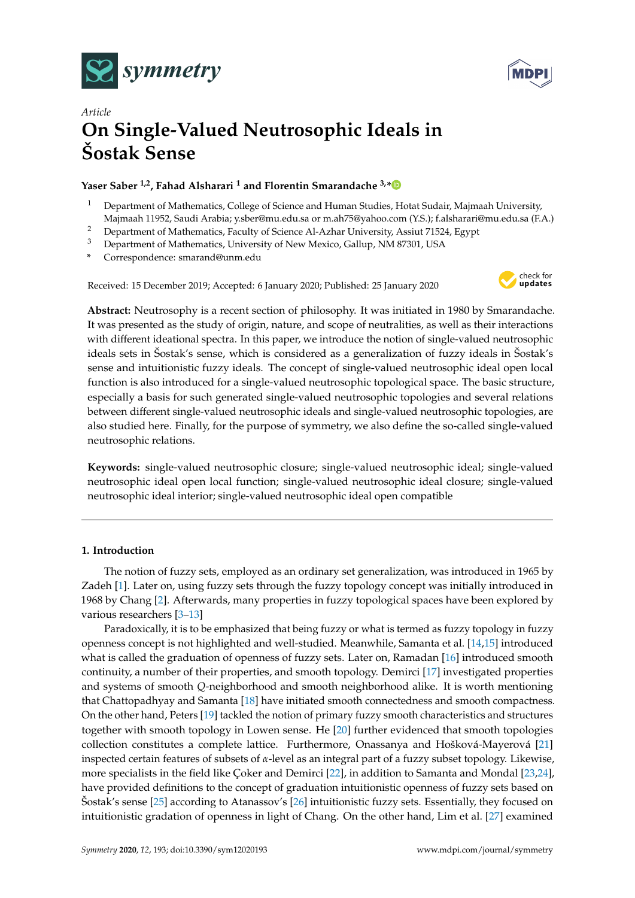



# *Article* **On Single-Valued Neutrosophic Ideals in Šostak Sense**

# **Yaser Saber 1,2, Fahad Alsharari <sup>1</sup> and Florentin Smarandache 3,[\\*](https://orcid.org/0000-0002-5560-5926 )**

- <sup>1</sup> Department of Mathematics, College of Science and Human Studies, Hotat Sudair, Majmaah University, Majmaah 11952, Saudi Arabia; y.sber@mu.edu.sa or m.ah75@yahoo.com (Y.S.); f.alsharari@mu.edu.sa (F.A.)
- <sup>2</sup> Department of Mathematics, Faculty of Science Al-Azhar University, Assiut 71524, Egypt<br><sup>3</sup> Department of Mathematics, University of New Mayics, Callum, NM 97201, USA
- <sup>3</sup> Department of Mathematics, University of New Mexico, Gallup, NM 87301, USA
- **\*** Correspondence: smarand@unm.edu

Received: 15 December 2019; Accepted: 6 January 2020; Published: 25 January 2020



**Abstract:** Neutrosophy is a recent section of philosophy. It was initiated in 1980 by Smarandache. It was presented as the study of origin, nature, and scope of neutralities, as well as their interactions with different ideational spectra. In this paper, we introduce the notion of single-valued neutrosophic ideals sets in Šostak's sense, which is considered as a generalization of fuzzy ideals in Šostak's sense and intuitionistic fuzzy ideals. The concept of single-valued neutrosophic ideal open local function is also introduced for a single-valued neutrosophic topological space. The basic structure, especially a basis for such generated single-valued neutrosophic topologies and several relations between different single-valued neutrosophic ideals and single-valued neutrosophic topologies, are also studied here. Finally, for the purpose of symmetry, we also define the so-called single-valued neutrosophic relations.

**Keywords:** single-valued neutrosophic closure; single-valued neutrosophic ideal; single-valued neutrosophic ideal open local function; single-valued neutrosophic ideal closure; single-valued neutrosophic ideal interior; single-valued neutrosophic ideal open compatible

## **1. Introduction**

The notion of fuzzy sets, employed as an ordinary set generalization, was introduced in 1965 by Zadeh [\[1\]](#page-18-0). Later on, using fuzzy sets through the fuzzy topology concept was initially introduced in 1968 by Chang [\[2\]](#page-18-1). Afterwards, many properties in fuzzy topological spaces have been explored by various researchers [\[3](#page-18-2)[–13\]](#page-18-3)

Paradoxically, it is to be emphasized that being fuzzy or what is termed as fuzzy topology in fuzzy openness concept is not highlighted and well-studied. Meanwhile, Samanta et al. [\[14,](#page-18-4)[15\]](#page-18-5) introduced what is called the graduation of openness of fuzzy sets. Later on, Ramadan [\[16\]](#page-18-6) introduced smooth continuity, a number of their properties, and smooth topology. Demirci [\[17\]](#page-18-7) investigated properties and systems of smooth *Q*-neighborhood and smooth neighborhood alike. It is worth mentioning that Chattopadhyay and Samanta [\[18\]](#page-18-8) have initiated smooth connectedness and smooth compactness. On the other hand, Peters [\[19\]](#page-18-9) tackled the notion of primary fuzzy smooth characteristics and structures together with smooth topology in Lowen sense. He [\[20\]](#page-18-10) further evidenced that smooth topologies collection constitutes a complete lattice. Furthermore, Onassanya and Hošková-Mayerová [\[21\]](#page-18-11) inspected certain features of subsets of *α*-level as an integral part of a fuzzy subset topology. Likewise, more specialists in the field like Çoker and Demirci [\[22\]](#page-18-12), in addition to Samanta and Mondal [\[23,](#page-18-13)[24\]](#page-18-14), have provided definitions to the concept of graduation intuitionistic openness of fuzzy sets based on Šostak's sense [\[25\]](#page-18-15) according to Atanassov's [\[26\]](#page-18-16) intuitionistic fuzzy sets. Essentially, they focused on intuitionistic gradation of openness in light of Chang. On the other hand, Lim et al. [\[27\]](#page-18-17) examined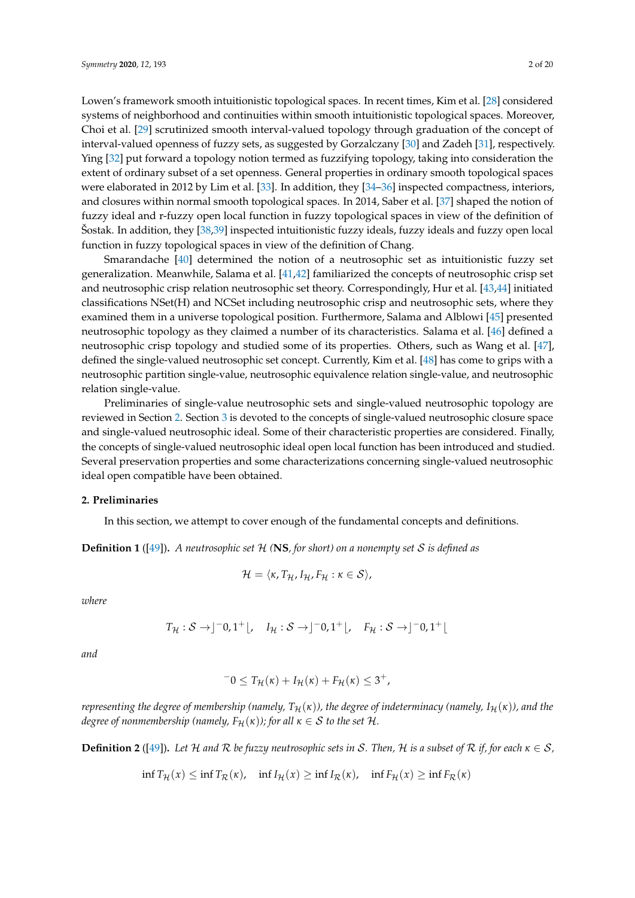Lowen's framework smooth intuitionistic topological spaces. In recent times, Kim et al. [\[28\]](#page-18-18) considered systems of neighborhood and continuities within smooth intuitionistic topological spaces. Moreover, Choi et al. [\[29\]](#page-18-19) scrutinized smooth interval-valued topology through graduation of the concept of interval-valued openness of fuzzy sets, as suggested by Gorzalczany [\[30\]](#page-19-0) and Zadeh [\[31\]](#page-19-1), respectively. Ying [\[32\]](#page-19-2) put forward a topology notion termed as fuzzifying topology, taking into consideration the extent of ordinary subset of a set openness. General properties in ordinary smooth topological spaces were elaborated in 2012 by Lim et al. [\[33\]](#page-19-3). In addition, they [\[34–](#page-19-4)[36\]](#page-19-5) inspected compactness, interiors,

and closures within normal smooth topological spaces. In 2014, Saber et al. [\[37\]](#page-19-6) shaped the notion of fuzzy ideal and r-fuzzy open local function in fuzzy topological spaces in view of the definition of Šostak. In addition, they [\[38](#page-19-7)[,39\]](#page-19-8) inspected intuitionistic fuzzy ideals, fuzzy ideals and fuzzy open local function in fuzzy topological spaces in view of the definition of Chang.

Smarandache [\[40\]](#page-19-9) determined the notion of a neutrosophic set as intuitionistic fuzzy set generalization. Meanwhile, Salama et al. [\[41](#page-19-10)[,42\]](#page-19-11) familiarized the concepts of neutrosophic crisp set and neutrosophic crisp relation neutrosophic set theory. Correspondingly, Hur et al. [\[43](#page-19-12)[,44\]](#page-19-13) initiated classifications NSet(H) and NCSet including neutrosophic crisp and neutrosophic sets, where they examined them in a universe topological position. Furthermore, Salama and Alblowi [\[45\]](#page-19-14) presented neutrosophic topology as they claimed a number of its characteristics. Salama et al. [\[46\]](#page-19-15) defined a neutrosophic crisp topology and studied some of its properties. Others, such as Wang et al. [\[47\]](#page-19-16), defined the single-valued neutrosophic set concept. Currently, Kim et al. [\[48\]](#page-19-17) has come to grips with a neutrosophic partition single-value, neutrosophic equivalence relation single-value, and neutrosophic relation single-value.

Preliminaries of single-value neutrosophic sets and single-valued neutrosophic topology are reviewed in Section [2.](#page-1-0) Section [3](#page-3-0) is devoted to the concepts of single-valued neutrosophic closure space and single-valued neutrosophic ideal. Some of their characteristic properties are considered. Finally, the concepts of single-valued neutrosophic ideal open local function has been introduced and studied. Several preservation properties and some characterizations concerning single-valued neutrosophic ideal open compatible have been obtained.

## <span id="page-1-0"></span>**2. Preliminaries**

In this section, we attempt to cover enough of the fundamental concepts and definitions.

**Definition 1** ([\[49\]](#page-19-18))**.** *A neutrosophic set* H *(***NS***, for short) on a nonempty set* S *is defined as*

$$
\mathcal{H}=\langle\kappa,T_{\mathcal{H}},I_{\mathcal{H}},F_{\mathcal{H}}:\kappa\in\mathcal{S}\rangle,
$$

*where*

$$
T_{\mathcal{H}}:\mathcal{S}\to]^{-0},1^{+}\lfloor,\quad I_{\mathcal{H}}:\mathcal{S}\to]^{-0},1^{+}\lfloor,\quad F_{\mathcal{H}}:\mathcal{S}\to]^{-0},1^{+}\lfloor
$$

*and*

$$
-0 \leq T_{\mathcal{H}}(\kappa) + I_{\mathcal{H}}(\kappa) + F_{\mathcal{H}}(\kappa) \leq 3^+,
$$

*representing the degree of membership (namely,*  $T_H(\kappa)$ ), the degree of indeterminacy (namely,  $I_H(\kappa)$ ), and the *degree of nonmembership (namely,*  $F_H(\kappa)$ *); for all*  $\kappa \in S$  *to the set* H.

**Definition 2** ([\[49\]](#page-19-18)). Let H and R be fuzzy neutrosophic sets in S. Then, H is a subset of R if, for each  $\kappa \in S$ ,

$$
\inf T_{\mathcal{H}}(x) \le \inf T_{\mathcal{R}}(\kappa), \quad \inf I_{\mathcal{H}}(x) \ge \inf I_{\mathcal{R}}(\kappa), \quad \inf F_{\mathcal{H}}(x) \ge \inf F_{\mathcal{R}}(\kappa)
$$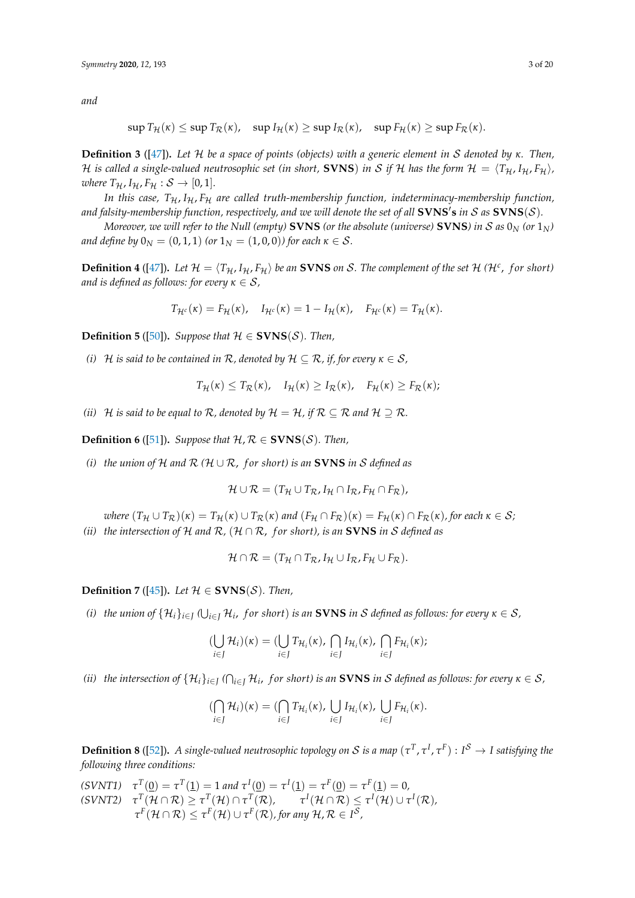*and*

$$
\sup T_{\mathcal{H}}(\kappa) \leq \sup T_{\mathcal{R}}(\kappa), \quad \sup I_{\mathcal{H}}(\kappa) \geq \sup I_{\mathcal{R}}(\kappa), \quad \sup F_{\mathcal{H}}(\kappa) \geq \sup F_{\mathcal{R}}(\kappa).
$$

**Definition 3** ([\[47\]](#page-19-16))**.** *Let* H *be a space of points (objects) with a generic element in* S *denoted by κ. Then,* H is called a single-valued neutrosophic set (in short, **SVNS**) in S if H has the form  $H = \langle T_H, I_H, F_H \rangle$ , *where*  $T_{\mathcal{H}}$ ,  $I_{\mathcal{H}}$ ,  $F_{\mathcal{H}}$  :  $S \rightarrow [0, 1]$ .

*In this case,*  $T_H$ ,  $I_H$ ,  $F_H$  are called truth-membership function, indeterminacy-membership function, and falsity-membership function, respectively, and we will denote the set of all  $\bf S VNS's$  in  $\cal S$  as  $\bf S VNS(\cal S)$ .

*Moreover, we will refer to the Null (empty)* **SVNS** (or the absolute (universe) **SVNS**) in *S* as  $0<sub>N</sub>$  (or  $1<sub>N</sub>$ ) *and define by*  $0_N = (0, 1, 1)$  *(or*  $1_N = (1, 0, 0)$ *) for each*  $\kappa \in S$ *.* 

**Definition 4** ([\[47\]](#page-19-16)). Let  $H = \langle T_H, I_H, F_H \rangle$  be an **SVNS** on S. The complement of the set H (H<sup>c</sup>, for short) *and is defined as follows: for every*  $\kappa \in S$ ,

$$
T_{\mathcal{H}^c}(\kappa) = F_{\mathcal{H}}(\kappa), \quad I_{\mathcal{H}^c}(\kappa) = 1 - I_{\mathcal{H}}(\kappa), \quad F_{\mathcal{H}^c}(\kappa) = T_{\mathcal{H}}(\kappa).
$$

**Definition 5** ([\[50\]](#page-19-19)). *Suppose that*  $H \in \text{SVN}(S)$ *. Then,* 

*(i)* H *is said to be contained in*  $\mathcal{R}$ *, denoted by*  $\mathcal{H} \subseteq \mathcal{R}$ *, if, for every*  $\kappa \in \mathcal{S}$ *,* 

$$
T_{\mathcal{H}}(\kappa) \leq T_{\mathcal{R}}(\kappa), \quad I_{\mathcal{H}}(\kappa) \geq I_{\mathcal{R}}(\kappa), \quad F_{\mathcal{H}}(\kappa) \geq F_{\mathcal{R}}(\kappa);
$$

*(ii)*  $H$  *is said to be equal to*  $R$ *, denoted by*  $H = H$ *, if*  $R \subseteq R$  *and*  $H \supseteq R$ *.* 

**Definition 6** ([\[51\]](#page-19-20)). *Suppose that*  $H, R \in \text{SVN}(S)$ *. Then,* 

*(i) the union of* H *and*  $R$  ( $H \cup R$ , *for short) is an* **SVNS** *in* S *defined as* 

$$
\mathcal{H} \cup \mathcal{R} = (T_{\mathcal{H}} \cup T_{\mathcal{R}}, I_{\mathcal{H}} \cap I_{\mathcal{R}}, F_{\mathcal{H}} \cap F_{\mathcal{R}}),
$$

*where*  $(T_H \cup T_R)(\kappa) = T_H(\kappa) \cup T_R(\kappa)$  *and*  $(F_H \cap F_R)(\kappa) = F_H(\kappa) \cap F_R(\kappa)$ , for each  $\kappa \in S$ ; *(ii) the intersection of*  $H$  *and*  $R$ *,*  $(H \cap R$ *, for short), is an* **SVNS** *in S defined as* 

$$
\mathcal{H} \cap \mathcal{R} = (T_{\mathcal{H}} \cap T_{\mathcal{R}}, I_{\mathcal{H}} \cup I_{\mathcal{R}}, F_{\mathcal{H}} \cup F_{\mathcal{R}}).
$$

**Definition** 7 ([\[45\]](#page-19-14)). *Let*  $H \in \text{SVNS}(\mathcal{S})$ *. Then,* 

 $(i)$  the union of  $\{\mathcal{H}_i\}_{i\in J}$  ( $\bigcup_{i\in J}\mathcal{H}_i$ , for short) is an <code>SVNS</code> in  $\mathcal S$  defined as follows: for every  $\kappa\in\mathcal S$ ,

$$
(\bigcup_{i\in J} \mathcal{H}_i)(\kappa) = (\bigcup_{i\in J} T_{\mathcal{H}_i}(\kappa), \bigcap_{i\in J} I_{\mathcal{H}_i}(\kappa), \bigcap_{i\in J} F_{\mathcal{H}_i}(\kappa);
$$

 $\pi$  *(ii)* the intersection of  $\{\mathcal{H}_i\}_{i\in J}$  ( $\cap_{i\in J}\mathcal{H}_i$ , for short) is an <code>SVNS</code> in  $\mathcal S$  defined as follows: for every  $\kappa\in\mathcal S$ ,

$$
(\bigcap_{i\in J} \mathcal{H}_i)(\kappa) = (\bigcap_{i\in J} T_{\mathcal{H}_i}(\kappa), \bigcup_{i\in J} I_{\mathcal{H}_i}(\kappa), \bigcup_{i\in J} F_{\mathcal{H}_i}(\kappa).
$$

**Definition 8** ([\[52\]](#page-19-21)). A single-valued neutrosophic topology on S is a map  $(\tau^T, \tau^I, \tau^F) : I^S \to I$  satisfying the *following three conditions:*

 $(SVNT1)$   $\tau^T(\underline{0}) = \tau^T(\underline{1}) = 1$  *and*  $\tau^I(\underline{0}) = \tau^I(\underline{1}) = \tau^F(\underline{0}) = \tau^F(\underline{1}) = 0$ ,  $\tau^T(\mathcal{H}\cap\mathcal{R})\geq \tau^T(\mathcal{H})\cap \tau^T(\mathcal{R}),\qquad \tau^I(\mathcal{H}\cap\mathcal{R})\leq \tau^I(\mathcal{H})\cup \tau^I(\mathcal{R}),$  $\tau^F(\mathcal{H}\cap\mathcal{R})\leq \tau^F(\mathcal{H})\cup \tau^F(\mathcal{R})$ , for any  $\mathcal{H},\mathcal{R}\in I^{\mathcal{S}},$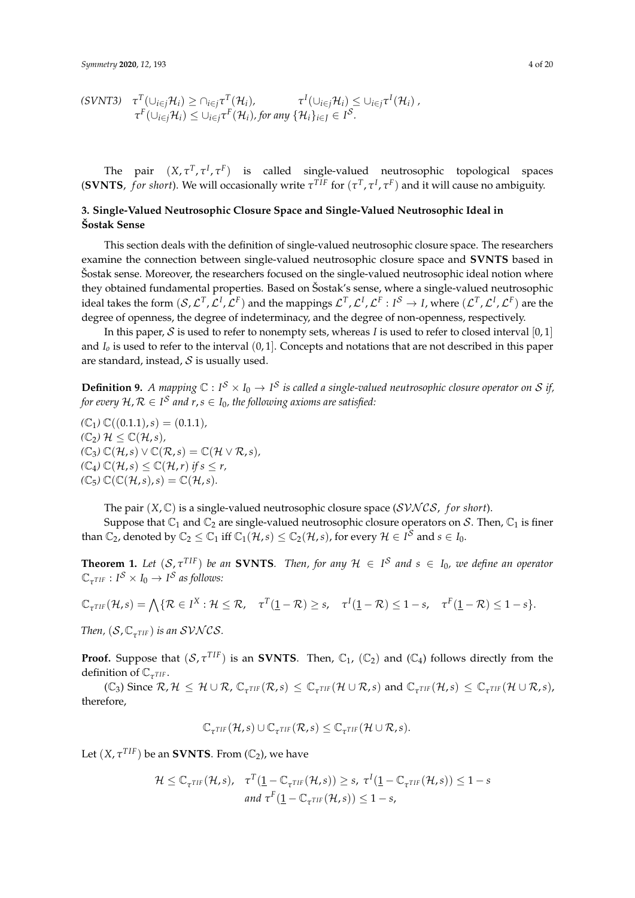$$
(SVNT3) \quad \tau^T(\cup_{i\in j}\mathcal{H}_i) \geq \cap_{i\in j}\tau^T(\mathcal{H}_i), \qquad \tau^I(\cup_{i\in j}\mathcal{H}_i) \leq \cup_{i\in j}\tau^I(\mathcal{H}_i),
$$
  

$$
\tau^F(\cup_{i\in j}\mathcal{H}_i) \leq \cup_{i\in j}\tau^F(\mathcal{H}_i), \text{ for any } \{\mathcal{H}_i\}_{i\in J} \in I^{\mathcal{S}}.
$$

The pair  $(X, \tau^T, \tau^I, \tau^F)$  is called single-valued neutrosophic topological spaces (**SVNTS**, for short). We will occasionally write  $\tau^{TIF}$  for  $(\tau^T, \tau^I, \tau^F)$  and it will cause no ambiguity.

## <span id="page-3-0"></span>**3. Single-Valued Neutrosophic Closure Space and Single-Valued Neutrosophic Ideal in Šostak Sense**

This section deals with the definition of single-valued neutrosophic closure space. The researchers examine the connection between single-valued neutrosophic closure space and **SVNTS** based in Šostak sense. Moreover, the researchers focused on the single-valued neutrosophic ideal notion where they obtained fundamental properties. Based on Šostak's sense, where a single-valued neutrosophic ideal takes the form  $(S, \mathcal{L}^T, \mathcal{L}^I, \mathcal{L}^F)$  and the mappings  $\mathcal{L}^T, \mathcal{L}^I, \mathcal{L}^F : I^S \to I$ , where  $(\mathcal{L}^T, \mathcal{L}^I, \mathcal{L}^F)$  are the degree of openness, the degree of indeterminacy, and the degree of non-openness, respectively.

In this paper, S is used to refer to nonempty sets, whereas *I* is used to refer to closed interval  $[0,1]$ and *I<sup>o</sup>* is used to refer to the interval (0, 1]. Concepts and notations that are not described in this paper are standard, instead,  $S$  is usually used.

**Definition 9.** A mapping  $\mathbb{C}: I^S \times I_0 \to I^S$  is called a single-valued neutrosophic closure operator on S if, for every  $\mathcal{H}, \mathcal{R} \in I^{\mathcal{S}}$  and  $r,s \in I_0$ , the following axioms are satisfied:

 $(\mathbb{C}_1) \mathbb{C}((0.1.1), s) = (0.1.1)$  $(\mathbb{C}_2)$   $\mathcal{H} \leq \mathbb{C}(\mathcal{H},s)$ ,  $(\mathbb{C}_3) \mathbb{C}(\mathcal{H}, s) \vee \mathbb{C}(\mathcal{R}, s) = \mathbb{C}(\mathcal{H} \vee \mathcal{R}, s),$  $(\mathbb{C}_4) \mathbb{C}(\mathcal{H}, s) \leq \mathbb{C}(\mathcal{H}, r)$  *if*  $s \leq r$ ,  $(\mathbb{C}_5) \mathbb{C}(\mathbb{C}(\mathcal{H},s),s) = \mathbb{C}(\mathcal{H},s).$ 

The pair  $(X, \mathbb{C})$  is a single-valued neutrosophic closure space ( $SVNCS$ , *for short*).

Suppose that  $\mathbb{C}_1$  and  $\mathbb{C}_2$  are single-valued neutrosophic closure operators on S. Then,  $\mathbb{C}_1$  is finer than  $\mathbb{C}_2$ , denoted by  $\mathbb{C}_2 \leq \mathbb{C}_1$  iff  $\mathbb{C}_1(\mathcal{H},s) \leq \mathbb{C}_2(\mathcal{H},s)$ , for every  $\mathcal{H} \in I^{\mathcal{S}}$  and  $s \in I_0$ .

**Theorem 1.** Let  $(S, \tau^{TIF})$  be an **SVNTS**. Then, for any  $H \in I^S$  and  $s \in I_0$ , we define an operator  $\mathbb{C}_{\tau^{TIF}} : I^{\mathcal{S}} \times I_0 \rightarrow I^{\mathcal{S}}$  as follows:

$$
\mathbb{C}_{\tau^{TIF}}(\mathcal{H},s) = \bigwedge \{ \mathcal{R} \in I^X : \mathcal{H} \leq \mathcal{R}, \quad \tau^T(\underline{1} - \mathcal{R}) \geq s, \quad \tau^I(\underline{1} - \mathcal{R}) \leq 1 - s, \quad \tau^F(\underline{1} - \mathcal{R}) \leq 1 - s \}.
$$

*Then,*  $(S, \mathbb{C}_{\tau^{TIF}})$  *is an SVNCS.* 

**Proof.** Suppose that  $(S, \tau^{TIF})$  is an **SVNTS**. Then,  $\mathbb{C}_1$ ,  $(\mathbb{C}_2)$  and  $(\mathbb{C}_4)$  follows directly from the definition of  $\mathbb{C}_{\tau^{TIF}}$ .

 $(\mathbb{C}_3)$  Since  $\mathcal{R}, \mathcal{H} \leq \mathcal{H} \cup \mathcal{R}$ ,  $\mathbb{C}_{\tau^{\text{TIF}}}(\mathcal{R}, s) \leq \mathbb{C}_{\tau^{\text{TIF}}}(\mathcal{H} \cup \mathcal{R}, s)$  and  $\mathbb{C}_{\tau^{\text{TIF}}}(\mathcal{H}, s) \leq \mathbb{C}_{\tau^{\text{TIF}}}(\mathcal{H} \cup \mathcal{R}, s)$ , therefore,

$$
\mathbb{C}_{\tau^{TIF}}(\mathcal{H},s) \cup \mathbb{C}_{\tau^{TIF}}(\mathcal{R},s) \leq \mathbb{C}_{\tau^{TIF}}(\mathcal{H} \cup \mathcal{R},s).
$$

Let  $(X, \tau^{TIF})$  be an **SVNTS**. From  $(\mathbb{C}_2)$ , we have

$$
\mathcal{H} \leq \mathbb{C}_{\tau^{TIF}}(\mathcal{H}, s), \quad \tau^T(\underline{1} - \mathbb{C}_{\tau^{TIF}}(\mathcal{H}, s)) \geq s, \ \tau^I(\underline{1} - \mathbb{C}_{\tau^{TIF}}(\mathcal{H}, s)) \leq 1 - s
$$
  
and  $\tau^F(\underline{1} - \mathbb{C}_{\tau^{TIF}}(\mathcal{H}, s)) \leq 1 - s$ ,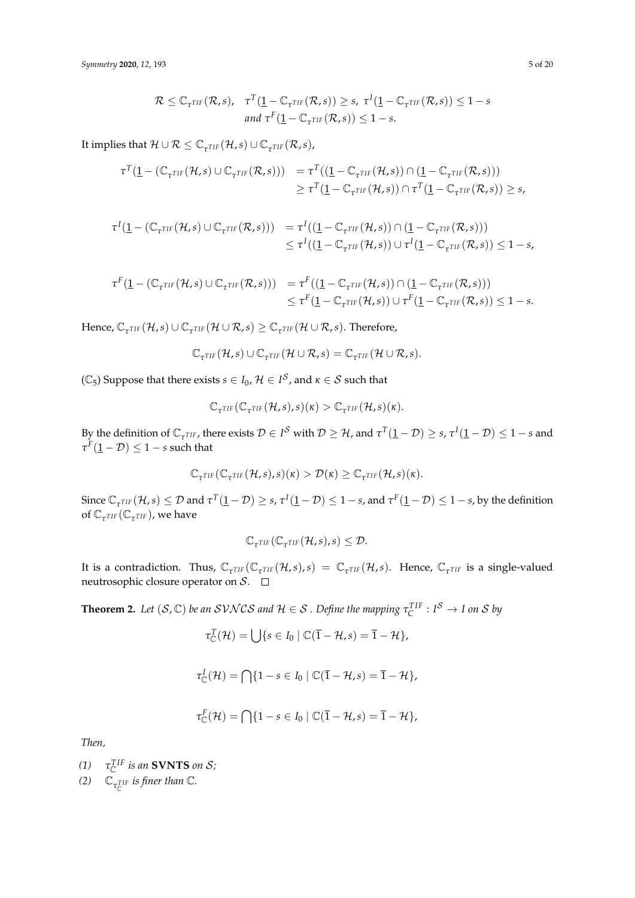$$
\mathcal{R} \leq \mathbb{C}_{\tau^{TIF}}(\mathcal{R}, s), \quad \tau^T(\underline{1} - \mathbb{C}_{\tau^{TIF}}(\mathcal{R}, s)) \geq s, \ \tau^I(\underline{1} - \mathbb{C}_{\tau^{TIF}}(\mathcal{R}, s)) \leq 1 - s
$$
  
and  $\tau^F(\underline{1} - \mathbb{C}_{\tau^{TIF}}(\mathcal{R}, s)) \leq 1 - s$ .

It implies that  $\mathcal{H} \cup \mathcal{R} \leq \mathbb{C}_{\tau^{TIF}}(\mathcal{H}, s) \cup \mathbb{C}_{\tau^{TIF}}(\mathcal{R}, s)$ ,

$$
\tau^T(\underline{1} - (\mathbb{C}_{\tau^{TIF}}(\mathcal{H}, s) \cup \mathbb{C}_{\tau^{TIF}}(\mathcal{R}, s))) = \tau^T((\underline{1} - \mathbb{C}_{\tau^{TIF}}(\mathcal{H}, s)) \cap (\underline{1} - \mathbb{C}_{\tau^{TIF}}(\mathcal{R}, s))) \geq \tau^T(\underline{1} - \mathbb{C}_{\tau^{TIF}}(\mathcal{H}, s)) \cap \tau^T(\underline{1} - \mathbb{C}_{\tau^{TIF}}(\mathcal{R}, s)) \geq s,
$$

$$
\tau^I(\underline{1} - (\mathbb{C}_{\tau^{TIF}}(\mathcal{H}, s) \cup \mathbb{C}_{\tau^{TIF}}(\mathcal{R}, s))) = \tau^I((\underline{1} - \mathbb{C}_{\tau^{TIF}}(\mathcal{H}, s)) \cap (\underline{1} - \mathbb{C}_{\tau^{TIF}}(\mathcal{R}, s))) \leq \tau^I((\underline{1} - \mathbb{C}_{\tau^{TIF}}(\mathcal{H}, s)) \cup \tau^I(\underline{1} - \mathbb{C}_{\tau^{TIF}}(\mathcal{R}, s)) \leq 1 - s,
$$

$$
\tau^F(\underline{1} - (\mathbb{C}_{\tau^{TIF}}(\mathcal{H}, s) \cup \mathbb{C}_{\tau^{TIF}}(\mathcal{R}, s))) = \tau^F((\underline{1} - \mathbb{C}_{\tau^{TIF}}(\mathcal{H}, s)) \cap (\underline{1} - \mathbb{C}_{\tau^{TIF}}(\mathcal{R}, s))) \leq \tau^F(\underline{1} - \mathbb{C}_{\tau^{TIF}}(\mathcal{H}, s)) \cup \tau^F(\underline{1} - \mathbb{C}_{\tau^{TIF}}(\mathcal{R}, s)) \leq 1 - s.
$$

 $Hence, \mathbb{C}_{\tau^{TIF}}(\mathcal{H}, s) \cup \mathbb{C}_{\tau^{TIF}}(\mathcal{H} \cup \mathcal{R}, s) \geq \mathbb{C}_{\tau^{TIF}}(\mathcal{H} \cup \mathcal{R}, s)$ . Therefore,

$$
\mathbb{C}_{\tau^{TIF}}(\mathcal{H},s) \cup \mathbb{C}_{\tau^{TIF}}(\mathcal{H} \cup \mathcal{R},s) = \mathbb{C}_{\tau^{TIF}}(\mathcal{H} \cup \mathcal{R},s).
$$

 $(\mathbb{C}_5)$  Suppose that there exists  $s \in I_0$ ,  $\mathcal{H} \in I^\mathcal{S}$ , and  $\kappa \in \mathcal{S}$  such that

$$
\mathbb{C}_{\tau^{TIF}}(\mathbb{C}_{\tau^{TIF}}(\mathcal{H},s),s)(\kappa) > \mathbb{C}_{\tau^{TIF}}(\mathcal{H},s)(\kappa).
$$

By the definition of  $\mathbb{C}_{\tau^{TIF}}$ , there exists  $\mathcal{D} \in I^S$  with  $\mathcal{D} \geq \mathcal{H}$ , and  $\tau^T(\underline{1} - \mathcal{D}) \geq s$ ,  $\tau^I(\underline{1} - \mathcal{D}) \leq 1 - s$  and  $\tau^F(\underline{1}-\mathcal{D}) \leq 1-s$  such that

$$
\mathbb{C}_{\tau^{TIF}}(\mathbb{C}_{\tau^{TIF}}(\mathcal{H},s),s)(\kappa) > \mathcal{D}(\kappa) \geq \mathbb{C}_{\tau^{TIF}}(\mathcal{H},s)(\kappa).
$$

Since  $\mathbb{C}_{\tau^{TIF}}(\mathcal{H},s) \leq \mathcal{D}$  and  $\tau^{T}(\underline{1}-\mathcal{D}) \geq s$ ,  $\tau^{I}(\underline{1}-\mathcal{D}) \leq 1-s$ , and  $\tau^{F}(\underline{1}-\mathcal{D}) \leq 1-s$ , by the definition of  $\mathbb{C}_{\tau^{TIF}}(\mathbb{C}_{\tau^{TIF}})$ , we have

$$
\mathbb{C}_{\tau^{TIF}}(\mathbb{C}_{\tau^{TIF}}(\mathcal{H},s),s) \leq \mathcal{D}.
$$

It is a contradiction. Thus,  $\mathbb{C}_{\tau^{TIF}}(\mathcal{C}_{\tau^{TIF}}(\mathcal{H},s),s) = \mathbb{C}_{\tau^{TIF}}(\mathcal{H},s)$ . Hence,  $\mathbb{C}_{\tau^{TIF}}$  is a single-valued neutrosophic closure operator on  $S$ .  $\Box$ 

**Theorem 2.** Let  $(S, \mathbb{C})$  be an  $SVNCS$  and  $H \in S$  . Define the mapping  $\tau_C^{TIF}: I^S \to I$  on  $S$  by

$$
\tau_{\mathbb{C}}^T(\mathcal{H}) = \bigcup \{ s \in I_0 \mid \mathbb{C}(\overline{1} - \mathcal{H}, s) = \overline{1} - \mathcal{H} \},
$$

$$
\tau_{\mathbb{C}}^I(\mathcal{H}) = \bigcap \{1 - s \in I_0 \mid \mathbb{C}(\overline{1} - \mathcal{H}, s) = \overline{1} - \mathcal{H}\},\
$$

$$
\tau_{\mathbb{C}}^F(\mathcal{H}) = \bigcap \{1 - s \in I_0 \mid \mathbb{C}(\overline{1} - \mathcal{H}, s) = \overline{1} - \mathcal{H}\},\
$$

*Then,*

*(1)*  $\tau_{\mathbb{C}}^{TIF}$  is an **SVNTS** on *S*;

(2)  $\mathbb{C}_{\tau_{\mathbb{C}}^{TIF}}$  *is finer than*  $\mathbb{C}$ *.*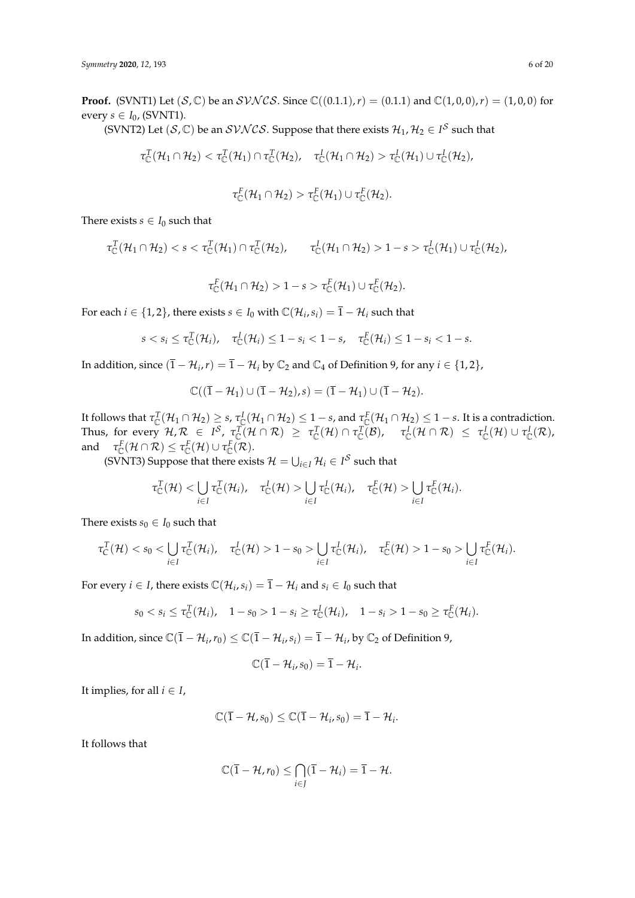**Proof.** (SVNT1) Let  $(S,\mathbb{C})$  be an  $SVNCS$ . Since  $\mathbb{C}((0.1.1),r) = (0.1.1)$  and  $\mathbb{C}(1,0,0),r) = (1,0,0)$  for every  $s \in I_0$ , (SVNT1).

(SVNT2) Let  $(S,\mathbb{C})$  be an  $SVNCS$ . Suppose that there exists  $\mathcal{H}_1, \mathcal{H}_2 \in I^S$  such that

$$
\tau_{\mathbb{C}}^T(\mathcal{H}_1\cap \mathcal{H}_2)<\tau_{\mathbb{C}}^T(\mathcal{H}_1)\cap \tau_{\mathbb{C}}^T(\mathcal{H}_2),\quad \tau_{\mathbb{C}}^I(\mathcal{H}_1\cap \mathcal{H}_2)>\tau_{\mathbb{C}}^I(\mathcal{H}_1)\cup \tau_{\mathbb{C}}^I(\mathcal{H}_2),
$$

$$
\tau_{\mathbb{C}}^F(\mathcal{H}_1 \cap \mathcal{H}_2) > \tau_{\mathbb{C}}^F(\mathcal{H}_1) \cup \tau_{\mathbb{C}}^F(\mathcal{H}_2).
$$

There exists *s*  $\in$  *I*<sub>0</sub> such that

$$
\tau_{\mathbb{C}}^T(\mathcal{H}_1 \cap \mathcal{H}_2) < s < \tau_{\mathbb{C}}^T(\mathcal{H}_1) \cap \tau_{\mathbb{C}}^T(\mathcal{H}_2), \qquad \tau_{\mathbb{C}}^I(\mathcal{H}_1 \cap \mathcal{H}_2) > 1 - s > \tau_{\mathbb{C}}^I(\mathcal{H}_1) \cup \tau_{\mathbb{C}}^I(\mathcal{H}_2),
$$

 $\tau_{\mathbb{C}}^{\mathbb{F}}(\mathcal{H}_1 \cap \mathcal{H}_2) > 1 - s > \tau_{\mathbb{C}}^{\mathbb{F}}(\mathcal{H}_1) \cup \tau_{\mathbb{C}}^{\mathbb{F}}(\mathcal{H}_2).$ 

For each  $i \in \{1, 2\}$ , there exists  $s \in I_0$  with  $\mathbb{C}(\mathcal{H}_i, s_i) = \overline{1} - \mathcal{H}_i$  such that

$$
s < s_i \leq \tau_{\mathbb{C}}^T(\mathcal{H}_i), \quad \tau_{\mathbb{C}}^I(\mathcal{H}_i) \leq 1 - s_i < 1 - s, \quad \tau_{\mathbb{C}}^F(\mathcal{H}_i) \leq 1 - s_i < 1 - s.
$$

In addition, since  $(\bar{1} - \mathcal{H}_i, r) = \bar{1} - \mathcal{H}_i$  by  $\mathbb{C}_2$  and  $\mathbb{C}_4$  of Definition 9, for any  $i \in \{1, 2\}$ ,

$$
\mathbb{C}((\overline{1}-\mathcal{H}_1)\cup(\overline{1}-\mathcal{H}_2),s)=(\overline{1}-\mathcal{H}_1)\cup(\overline{1}-\mathcal{H}_2).
$$

It follows that  $\tau_\mathbb{C}^T(\mathcal{H}_1\cap\mathcal{H}_2)\geq s$ ,  $\tau_\mathbb{C}^I(\mathcal{H}_1\cap\mathcal{H}_2)\leq 1-s$ , and  $\tau_\mathbb{C}^F(\mathcal{H}_1\cap\mathcal{H}_2)\leq 1-s.$  It is a contradiction. Thus, for every  $\mathcal{H}, \mathcal{R} \in I^{\mathcal{S}}, \ \tau_{\mathbb{C}}^T(\mathcal{H} \cap \mathcal{R}) \ \geq \ \tau_{\mathbb{C}}^T(\mathcal{H}) \cap \tau_{\mathbb{C}}^T(\mathcal{B}), \ \ \tau_{\mathbb{C}}^I(\mathcal{H} \cap \mathcal{R}) \ \leq \ \tau_{\mathbb{C}}^I(\mathcal{H}) \cup \tau_{\mathbb{C}}^I(\mathcal{R}),$ and  $\tau_{\mathbb{C}}^F(\mathcal{H} \cap \mathcal{R}) \leq \tau_{\mathbb{C}}^F(\mathcal{H}) \cup \tau_{\mathbb{C}}^F(\mathcal{R})$ .

(SVNT3) Suppose that there exists  $\mathcal{H} = \bigcup_{i \in I} \mathcal{H}_i \in I^{\mathcal{S}}$  such that

$$
\tau_{\mathbb{C}}^T(\mathcal{H}) < \bigcup_{i \in I} \tau_{\mathbb{C}}^T(\mathcal{H}_i), \quad \tau_{\mathbb{C}}^I(\mathcal{H}) > \bigcup_{i \in I} \tau_{\mathbb{C}}^I(\mathcal{H}_i), \quad \tau_{\mathbb{C}}^F(\mathcal{H}) > \bigcup_{i \in I} \tau_{\mathbb{C}}^F(\mathcal{H}_i).
$$

There exists  $s_0 \in I_0$  such that

$$
\tau_C^T(\mathcal{H}) < s_0 < \bigcup_{i \in I} \tau_C^T(\mathcal{H}_i), \quad \tau_C^I(\mathcal{H}) > 1 - s_0 > \bigcup_{i \in I} \tau_C^I(\mathcal{H}_i), \quad \tau_C^F(\mathcal{H}) > 1 - s_0 > \bigcup_{i \in I} \tau_C^F(\mathcal{H}_i).
$$

For every  $i \in I$ , there exists  $\mathbb{C}(\mathcal{H}_i, s_i) = \overline{1} - \mathcal{H}_i$  and  $s_i \in I_0$  such that

$$
s_0 < s_i \leq \tau_{\mathbb{C}}^T(\mathcal{H}_i), \quad 1 - s_0 > 1 - s_i \geq \tau_{\mathbb{C}}^T(\mathcal{H}_i), \quad 1 - s_i > 1 - s_0 \geq \tau_{\mathbb{C}}^F(\mathcal{H}_i).
$$

In addition, since  $\mathbb{C}(\bar{1} - \mathcal{H}_i, r_0) \leq \mathbb{C}(\bar{1} - \mathcal{H}_i, s_i) = \bar{1} - \mathcal{H}_i$ , by  $\mathbb{C}_2$  of Definition 9,

$$
\mathbb{C}(\overline{1}-\mathcal{H}_i,s_0)=\overline{1}-\mathcal{H}_i.
$$

It implies, for all  $i \in I$ ,

$$
\mathbb{C}(\overline{1}-\mathcal{H},s_0)\leq \mathbb{C}(\overline{1}-\mathcal{H}_i,s_0)=\overline{1}-\mathcal{H}_i.
$$

It follows that

$$
\mathbb{C}(\overline{1}-\mathcal{H},r_0)\leq \bigcap_{i\in J}(\overline{1}-\mathcal{H}_i)=\overline{1}-\mathcal{H}.
$$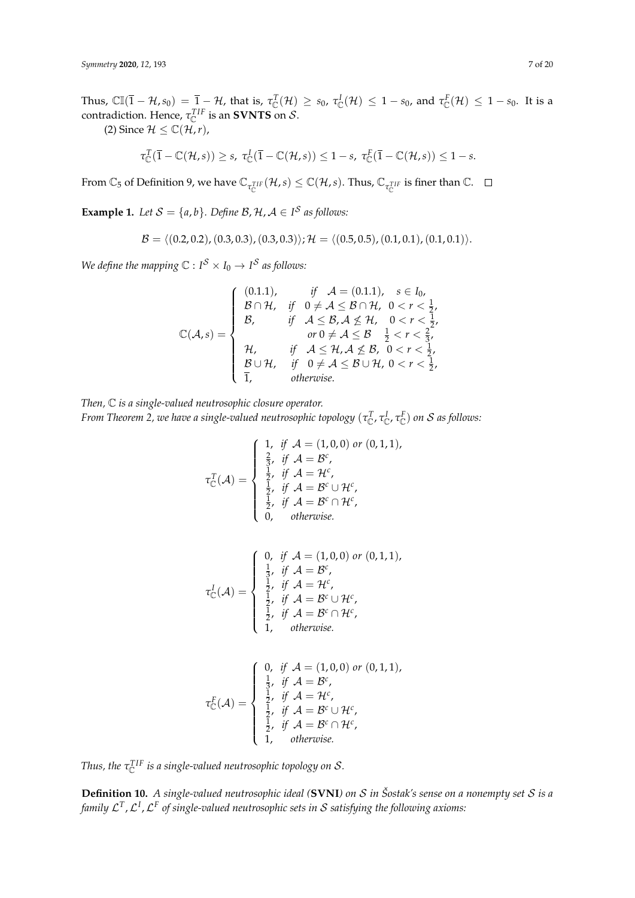Thus,  $\mathbb{CI}(\overline{1}-\mathcal{H},s_0) = \overline{1}-\mathcal{H}$ , that is,  $\tau_{\mathbb{C}}^T(\mathcal{H}) \geq s_0$ ,  $\tau_{\mathbb{C}}^I(\mathcal{H}) \leq 1-s_0$ , and  $\tau_{\mathbb{C}}^F(\mathcal{H}) \leq 1-s_0$ . It is a contradiction. Hence,  $\tau_{\mathbb{C}}^{TIF}$  is an **SVNTS** on  $\mathcal{S}.$ 

(2) Since  $\mathcal{H} \leq \mathbb{C}(\mathcal{H},r)$ ,

$$
\tau_{\mathbb{C}}^T(\overline{1}-\mathbb{C}(\mathcal{H},s))\geq s, \ \tau_{\mathbb{C}}^I(\overline{1}-\mathbb{C}(\mathcal{H},s))\leq 1-s, \ \tau_{\mathbb{C}}^F(\overline{1}-\mathbb{C}(\mathcal{H},s))\leq 1-s.
$$

From  $\mathbb{C}_5$  of Definition 9, we have  $\mathbb{C}_{\tau_{\mathbb{C}}^{TIF}}(\mathcal{H},s) \leq \mathbb{C}(\mathcal{H},s)$ . Thus,  $\mathbb{C}_{\tau_{\mathbb{C}}^{TIF}}$  is finer than  $\mathbb{C}.$ 

**Example 1.** *Let*  $S = \{a, b\}$ *. Define*  $B$ *,*  $H$ *,*  $A \in I^S$  *as follows:* 

$$
\mathcal{B} = \langle (0.2, 0.2), (0.3, 0.3), (0.3, 0.3) \rangle; \mathcal{H} = \langle (0.5, 0.5), (0.1, 0.1), (0.1, 0.1) \rangle.
$$

*We define the mapping*  $\mathbb{C}: I^{\mathcal{S}} \times I_0 \rightarrow I^{\mathcal{S}}$  *as follows:* 

$$
\mathbb{C}(\mathcal{A},s) = \begin{cases}\n(0.1.1), & \text{if } \mathcal{A} = (0.1.1), \quad s \in I_0, \\
\mathcal{B} \cap \mathcal{H}, & \text{if } 0 \neq \mathcal{A} \leq \mathcal{B} \cap \mathcal{H}, \quad 0 < r < \frac{1}{2}, \\
\mathcal{B}, & \text{if } \mathcal{A} \leq \mathcal{B}, \mathcal{A} \not\leq \mathcal{H}, \quad 0 < r < \frac{1}{2}, \\
& \text{or } 0 \neq \mathcal{A} \leq \mathcal{B} & \frac{1}{2} < r < \frac{2}{3}, \\
\mathcal{H}, & \text{if } \mathcal{A} \leq \mathcal{H}, \mathcal{A} \not\leq \mathcal{B}, \quad 0 < r < \frac{1}{2}, \\
\mathcal{B} \cup \mathcal{H}, & \text{if } 0 \neq \mathcal{A} \leq \mathcal{B} \cup \mathcal{H}, \quad 0 < r < \frac{1}{2}, \\
& \text{otherwise.} & \n\end{cases}
$$

*Then,* C *is a single-valued neutrosophic closure operator. From Theorem 2, we have a single-valued neutrosophic topology* (*τ T* C , *τ I* C , *τ F* C ) *on* S *as follows:*

$$
\tau_{\mathbb{C}}^{T}(\mathcal{A}) = \begin{cases}\n1, & \text{if } \mathcal{A} = (1,0,0) \text{ or } (0,1,1), \\
\frac{2}{3}, & \text{if } \mathcal{A} = \mathcal{B}^{c}, \\
\frac{1}{2}, & \text{if } \mathcal{A} = \mathcal{H}^{c}, \\
\frac{1}{2}, & \text{if } \mathcal{A} = \mathcal{B}^{c} \cup \mathcal{H}^{c}, \\
\frac{1}{2}, & \text{if } \mathcal{A} = \mathcal{B}^{c} \cap \mathcal{H}^{c}, \\
0, & \text{otherwise.} \n\end{cases}
$$

$$
\tau_{\mathbb{C}}^I(\mathcal{A}) = \begin{cases}\n0, & \text{if } \mathcal{A} = (1,0,0) \text{ or } (0,1,1), \\
\frac{1}{3}, & \text{if } \mathcal{A} = \mathcal{B}^c, \\
\frac{1}{2}, & \text{if } \mathcal{A} = \mathcal{H}^c, \\
\frac{1}{2}, & \text{if } \mathcal{A} = \mathcal{B}^c \cup \mathcal{H}^c, \\
\frac{1}{2}, & \text{if } \mathcal{A} = \mathcal{B}^c \cap \mathcal{H}^c, \\
1, & \text{otherwise.} \n\end{cases}
$$

$$
\tau_{\mathbb{C}}^F(\mathcal{A}) = \begin{cases}\n0, & \text{if } \mathcal{A} = (1,0,0) \text{ or } (0,1,1), \\
\frac{1}{3}, & \text{if } \mathcal{A} = \mathcal{B}^c, \\
\frac{1}{2}, & \text{if } \mathcal{A} = \mathcal{H}^c, \\
\frac{1}{2}, & \text{if } \mathcal{A} = \mathcal{B}^c \cup \mathcal{H}^c, \\
\frac{1}{2}, & \text{if } \mathcal{A} = \mathcal{B}^c \cap \mathcal{H}^c, \\
1, & \text{otherwise.} \n\end{cases}
$$

Thus, the  $\tau^{\rm TIF}_{\mathbb C}$  is a single-valued neutrosophic topology on  $\mathcal S.$ 

**Definition 10.** *A single-valued neutrosophic ideal (***SVNI***) on* S *in Šostak's sense on a nonempty set* S *is a family* L *T* ,L *I* ,L *F of single-valued neutrosophic sets in* S *satisfying the following axioms:*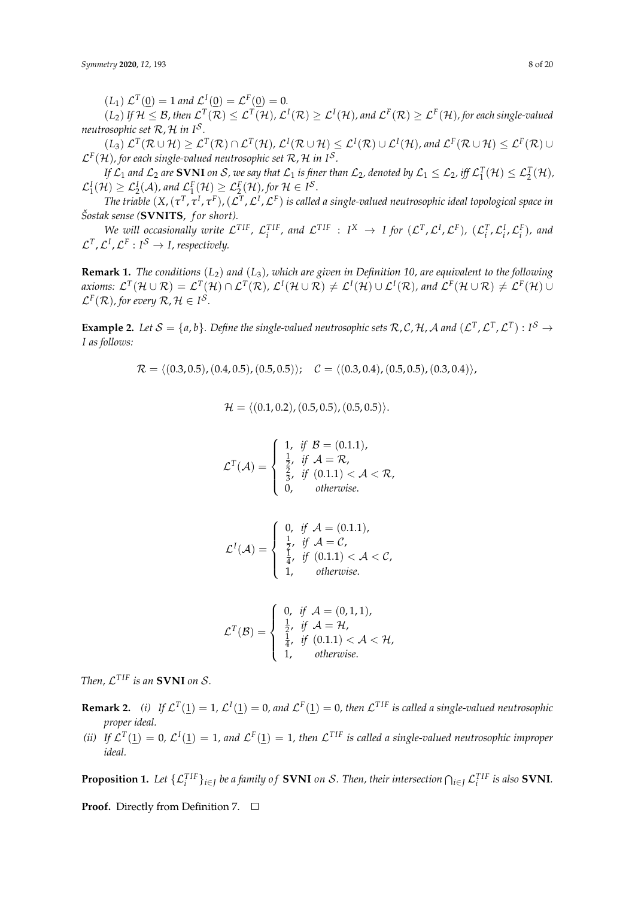$(L_1) \mathcal{L}^T(\underline{0}) = 1$  and  $\mathcal{L}^I(\underline{0}) = \mathcal{L}^F(\underline{0}) = 0$ .

 $(L_2)$  If  $H \leq B$ , then  $\mathcal{L}^T(\mathcal{R}) \leq \mathcal{L}^T(\mathcal{H})$ ,  $\mathcal{L}^I(\mathcal{R}) \geq \mathcal{L}^I(\mathcal{H})$ , and  $\mathcal{L}^F(\mathcal{R}) \geq \mathcal{L}^F(\mathcal{H})$ , for each single-valued *neutrosophic set* R, H *in I*<sup>S</sup> *.*

 $\mathcal{L}^T(\mathcal{R}\cup\mathcal{H})\geq \mathcal{L}^T(\mathcal{R})\cap\mathcal{L}^T(\mathcal{H}),\mathcal{L}^I(\mathcal{R}\cup\mathcal{H})\leq \mathcal{L}^I(\mathcal{R})\cup\mathcal{L}^I(\mathcal{H}),$  and  $\mathcal{L}^F(\mathcal{R}\cup\mathcal{H})\leq \mathcal{L}^F(\mathcal{R})\cup\mathcal{L}^I(\mathcal{H})$  $\mathcal{L}^{\mathrm{F}}(\mathcal{H})$ , for each single-valued neutrosophic set  $\mathcal{R}$ ,  $\mathcal{H}$  in  $I^{\mathcal{S}}$ .

*If*  $\mathcal{L}_1$  and  $\mathcal{L}_2$  are SVNI on  $\mathcal{S}$ , we say that  $\mathcal{L}_1$  is finer than  $\mathcal{L}_2$ , denoted by  $\mathcal{L}_1 \leq \mathcal{L}_2$ , iff  $\mathcal{L}_1^T(\mathcal{H}) \leq \mathcal{L}_2^T(\mathcal{H})$ ,  $\mathcal{L}_1^I(\mathcal{H}) \geq \mathcal{L}_2^I(\mathcal{A})$ , and  $\mathcal{L}_1^F(\mathcal{H}) \geq \mathcal{L}_2^F(\mathcal{H})$ , for  $\mathcal{H} \in I^{\mathcal{S}}$ .

The triable  $(X,(\tau^T,\tau^I,\tau^F),(\mathcal{L}^T,\mathcal{L}^I,\mathcal{L}^F)$  is called a single-valued neutrosophic ideal topological space in  $\check{S}$ ostak sense (**SVNITS**, *for short*).

We will occasionally write  $\mathcal{L}^{TIF}$ ,  $\mathcal{L}^{TIF}_i$ , and  $\mathcal{L}^{TIF}$  :  $I^X \to I$  for  $(\mathcal{L}^T, \mathcal{L}^I, \mathcal{L}^F)$ ,  $(\mathcal{L}^T_i, \mathcal{L}^I_i, \mathcal{L}^F_i)$ , and  $\mathcal{L}^T$ ,  $\mathcal{L}^I$ ,  $\mathcal{L}^F: I^{\mathcal{S}} \to I$ , respectively.

**Remark 1.** *The conditions* (*L*2) *and* (*L*3)*, which are given in Definition 10, are equivalent to the following* axioms:  $\mathcal{L}^T(\mathcal{H}\cup \mathcal{R})=\mathcal{L}^T(\mathcal{H})\cap \mathcal{L}^T(\mathcal{R})$ ,  $\mathcal{L}^I(\mathcal{H}\cup \mathcal{R})\neq \mathcal{L}^I(\mathcal{H})\cup \mathcal{L}^I(\mathcal{R})$ , and  $\mathcal{L}^F(\mathcal{H}\cup \mathcal{R})\neq \mathcal{L}^F(\mathcal{H})\cup$  $\mathcal{L}^F(\mathcal{R})$ , for every  $\mathcal{R}, \mathcal{H} \in I^{\mathcal{S}}$ .

**Example 2.** Let  $S = \{a, b\}$ . Define the single-valued neutrosophic sets  $R, C, H, A$  and  $(L^T, L^T, L^T) : I^S \to$ *I as follows:*

 $\mathcal{R} = \langle (0.3, 0.5), (0.4, 0.5), (0.5, 0.5)\rangle; \quad \mathcal{C} = \langle (0.3, 0.4), (0.5, 0.5), (0.3, 0.4)\rangle,$ 

$$
\mathcal{H} = \langle (0.1, 0.2), (0.5, 0.5), (0.5, 0.5) \rangle.
$$

$$
\mathcal{L}^{T}(\mathcal{A}) = \begin{cases} 1, & \text{if } \mathcal{B} = (0.1.1), \\ \frac{1}{2}, & \text{if } \mathcal{A} = \mathcal{R}, \\ \frac{2}{3}, & \text{if } (0.1.1) < \mathcal{A} < \mathcal{R}, \\ 0, & \text{otherwise.} \end{cases}
$$

$$
\mathcal{L}^{I}(\mathcal{A}) = \begin{cases} 0, & \text{if } \mathcal{A} = (0.1.1), \\ \frac{1}{2}, & \text{if } \mathcal{A} = \mathcal{C}, \\ \frac{1}{4}, & \text{if } (0.1.1) < \mathcal{A} < \mathcal{C}, \\ 1, & \text{otherwise.} \end{cases}
$$

$$
\mathcal{L}^{T}(\mathcal{B}) = \begin{cases} 0, & \text{if } \mathcal{A} = (0,1,1), \\ \frac{1}{2}, & \text{if } \mathcal{A} = \mathcal{H}, \\ \frac{1}{4}, & \text{if } (0.1.1) < \mathcal{A} < \mathcal{H}, \\ 1, & \text{otherwise.} \end{cases}
$$

*Then,*  $\mathcal{L}^{TIF}$  *is an* **SVNI** *on*  $\mathcal{S}.$ 

- **Remark 2.** (i) If  $\mathcal{L}^T(\mathbf{1}) = 1$ ,  $\mathcal{L}^I(\mathbf{1}) = 0$ , and  $\mathcal{L}^F(\mathbf{1}) = 0$ , then  $\mathcal{L}^{TIF}$  is called a single-valued neutrosophic *proper ideal.*
- (*ii*) If  $\mathcal{L}^T(\mathbf{1}) = 0$ ,  $\mathcal{L}^I(\mathbf{1}) = 1$ , and  $\mathcal{L}^F(\mathbf{1}) = 1$ , then  $\mathcal{L}^{TIF}$  is called a single-valued neutrosophic improper *ideal.*

**Proposition 1.** Let  $\{\mathcal{L}_i^{\text{TIF}}\}_{i\in J}$  be a family of SVNI on S. Then, their intersection  $\bigcap_{i\in J}\mathcal{L}_i^{\text{TIF}}$  is also SVNI.

**Proof.** Directly from Definition 7. □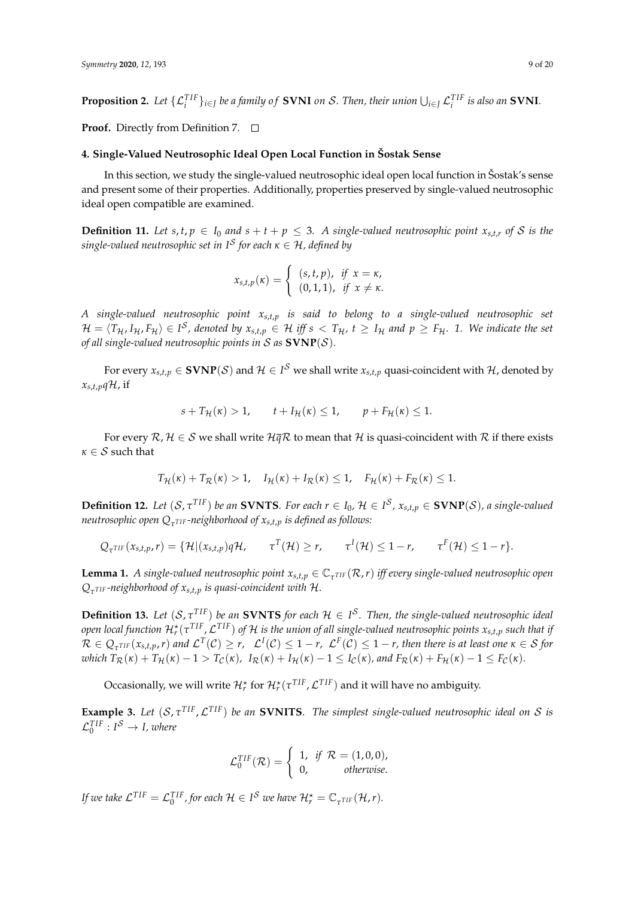**Proposition 2.** Let  $\{\mathcal{L}_i^{TIF}\}_{i\in J}$  be a family of SVNI on S. Then, their union  $\bigcup_{i\in J}\mathcal{L}_i^{TIF}$  is also an SVNI.

**Proof.** Directly from Definition 7. □

## **4. Single-Valued Neutrosophic Ideal Open Local Function in Šostak Sense**

In this section, we study the single-valued neutrosophic ideal open local function in Šostak's sense and present some of their properties. Additionally, properties preserved by single-valued neutrosophic ideal open compatible are examined.

**Definition 11.** Let  $s, t, p \in I_0$  and  $s + t + p \leq 3$ . A single-valued neutrosophic point  $x_{s,t,r}$  of S is the *single-valued neutrosophic set in I*<sup>S</sup> *for each κ* ∈ H*, defined by*

$$
x_{s,t,p}(\kappa) = \begin{cases} (s,t,p), & \text{if } x = \kappa, \\ (0,1,1), & \text{if } x \neq \kappa. \end{cases}
$$

*A single-valued neutrosophic point xs*,*t*,*<sup>p</sup> is said to belong to a single-valued neutrosophic set*  $\mathcal{H}=\langle T_{\mathcal{H}} , I_{\mathcal{H}} , F_{\mathcal{H}}\rangle\in I^{\mathcal{S}}$ , denoted by  $x_{s,t,p}\in\mathcal{H}$  iff  $s< T_{\mathcal{H}}$ ,  $t\geq I_{\mathcal{H}}$  and  $p\geq F_{\mathcal{H}}.$  1. We indicate the set *of all single-valued neutrosophic points in* S *as* **SVNP**(S)*.*

For every  $x_{s,t,p}\in\mathbf{SVNP}(\mathcal{S})$  and  $\mathcal{H}\in I^\mathcal{S}$  we shall write  $x_{s,t,p}$  quasi-coincident with  $\mathcal{H}$ , denoted by  $x_{s,t,p} q$ H, if

$$
s + T_{\mathcal{H}}(\kappa) > 1, \qquad t + I_{\mathcal{H}}(\kappa) \le 1, \qquad p + F_{\mathcal{H}}(\kappa) \le 1.
$$

For every  $\mathcal{R}, \mathcal{H} \in \mathcal{S}$  we shall write  $\mathcal{H} \overline{q} \mathcal{R}$  to mean that  $\mathcal{H}$  is quasi-coincident with  $\mathcal{R}$  if there exists  $\kappa \in \mathcal{S}$  such that

$$
T_{\mathcal{H}}(\kappa)+T_{\mathcal{R}}(\kappa) > 1, \quad I_{\mathcal{H}}(\kappa)+I_{\mathcal{R}}(\kappa) \leq 1, \quad F_{\mathcal{H}}(\kappa)+F_{\mathcal{R}}(\kappa) \leq 1.
$$

**Definition 12.** Let  $(S, \tau^{TIF})$  be an **SVNTS**. For each  $r \in I_0$ ,  $\mathcal{H} \in I^S$ ,  $x_{s,t,p} \in \mathbf{SVNP}(S)$ , a single-valued *neutrosophic open Q<sup>τ</sup> T IF -neighborhood of xs*,*t*,*<sup>p</sup> is defined as follows:*

$$
Q_{\tau^{TIF}}(x_{s,t,p}, r) = \{ \mathcal{H} | (x_{s,t,p})q\mathcal{H}, \qquad \tau^{T}(\mathcal{H}) \geq r, \qquad \tau^{I}(\mathcal{H}) \leq 1 - r, \qquad \tau^{F}(\mathcal{H}) \leq 1 - r \}.
$$

**Lemma 1.** A single-valued neutrosophic point  $x_{s,t,p} \in \mathbb{C}_{\tau^{TIF}}(\mathcal{R},r)$  iff every single-valued neutrosophic open  $Q_{\tau^{TIF}}$  *-neighborhood of*  $x_{s,t,p}$  *is quasi-coincident with H.* 

**Definition 13.** Let  $(S, \tau^{TIF})$  be an **SVNTS** for each  $H \in I^S$ . Then, the single-valued neutrosophic ideal  $p$  *open local function*  $H_r^\star(\tau^{TIF},\mathcal{L}^{TIF})$  *of*  $\mathcal H$  *is the union of all single-valued neutrosophic points*  $x_{s,t,p}$  *such that if*  $\mathcal{R}\in\mathcal{Q}_{\tau^{TIF}}(x_{s,t,p},r)$  and  $\mathcal{L}^{T}(\mathcal{C})\geq r$ ,  $\mathcal{L}^{I}(\mathcal{C})\leq1-r$ ,  $\mathcal{L}^{F}(\mathcal{C})\leq1-r$ , then there is at least one  $\kappa\in\mathcal{S}$  for which  $T_{\mathcal{R}}(\kappa) + T_{\mathcal{H}}(\kappa) - 1 > T_{\mathcal{C}}(\kappa)$ ,  $I_{\mathcal{R}}(\kappa) + I_{\mathcal{H}}(\kappa) - 1 \leq I_{\mathcal{C}}(\kappa)$ , and  $F_{\mathcal{R}}(\kappa) + F_{\mathcal{H}}(\kappa) - 1 \leq F_{\mathcal{C}}(\kappa)$ .

Occasionally, we will write  $\mathcal{H}^\star_r$  for  $\mathcal{H}^\star_r(\tau^{TIF},\mathcal{L}^{TIF})$  and it will have no ambiguity.

**Example 3.** Let  $(S, \tau^{TIF}, \mathcal{L}^{TIF})$  be an **SVNITS**. The simplest single-valued neutrosophic ideal on S is  $\mathcal{L}_0^{TIF}: I^{\mathcal{S}} \rightarrow I$ , where

$$
\mathcal{L}_0^{TIF}(\mathcal{R}) = \begin{cases} 1, & \text{if } \mathcal{R} = (1,0,0), \\ 0, & \text{otherwise.} \end{cases}
$$

*If we take*  $\mathcal{L}^{TIF} = \mathcal{L}_0^{TIF}$ , for each  $\mathcal{H} \in I^{\mathcal{S}}$  we have  $\mathcal{H}_r^* = \mathbb{C}_{\tau^{TIF}}(\mathcal{H}, r)$ .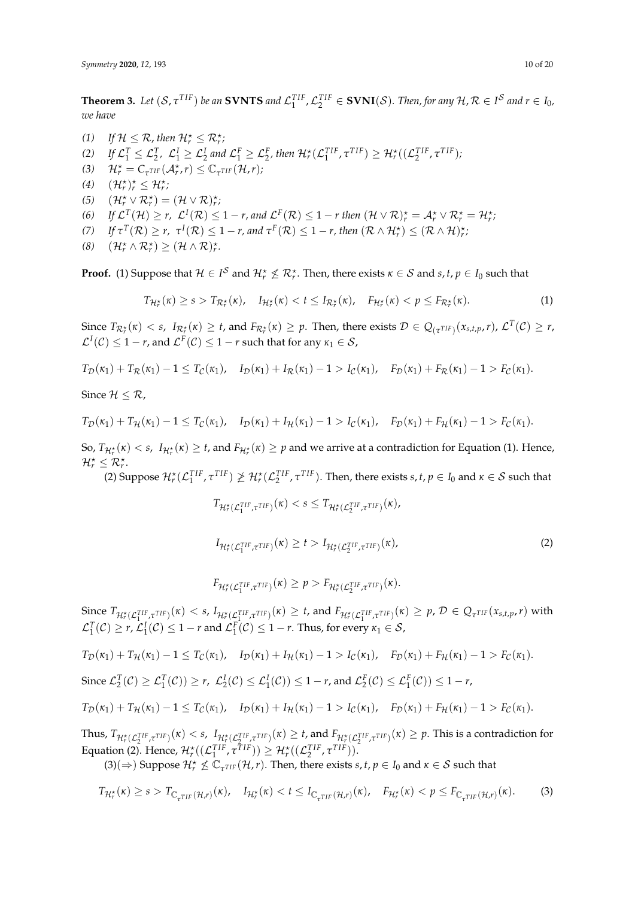**Theorem 3.** Let  $(S, \tau^{TIF})$  be an SVNTS and  $\mathcal{L}_1^{TIF}, \mathcal{L}_2^{TIF} \in \textbf{SVNI}(\mathcal{S})$ . Then, for any  $\mathcal{H}, \mathcal{R} \in I^{\mathcal{S}}$  and  $r \in I_0$ , *we have*

(1) If  $\mathcal{H} \leq \mathcal{R}$ , then  $\mathcal{H}_r^{\star} \leq \mathcal{R}_r^{\star}$ ; (2) If  $\mathcal{L}_1^T \leq \mathcal{L}_2^T$ ,  $\mathcal{L}_1^I \geq \mathcal{L}_2^I$  and  $\mathcal{L}_1^F \geq \mathcal{L}_2^F$ , then  $\mathcal{H}_r^{\star}(\mathcal{L}_1^{TIF}, \tau^{TIF}) \geq \mathcal{H}_r^{\star}((\mathcal{L}_2^{TIF}, \tau^{TIF})$ ; (3)  $\mathcal{H}_r^* = C_{\tau^{TIF}}(\mathcal{A}_r^*, r) \leq C_{\tau^{TIF}}(\mathcal{H}, r);$ (4)  $(\mathcal{H}_r^{\star})_r^{\star} \leq \mathcal{H}_r^{\star}$ ; (5)  $(\mathcal{H}_r^* \vee \mathcal{R}_r^*) = (\mathcal{H} \vee \mathcal{R})_r^*$ (6) If  $\mathcal{L}^T(\mathcal{H}) \ge r$ ,  $\mathcal{L}^I(\mathcal{R}) \le 1 - r$ , and  $\mathcal{L}^F(\mathcal{R}) \le 1 - r$  then  $(\mathcal{H} \vee \mathcal{R})^{\star}_r = \mathcal{A}^{\star}_r \vee \mathcal{R}^{\star}_r = \mathcal{H}^{\star}_r$ , *(7) If*  $\tau^{T}(\mathcal{R}) \geq r$ ,  $\tau^{I}(\mathcal{R}) \leq 1 - r$ , and  $\tau^{F}(\mathcal{R}) \leq 1 - r$ , then  $(\mathcal{R} \wedge \mathcal{H}_{r}^{*}) \leq (\mathcal{R} \wedge \mathcal{H})_{r}^{*}$ , (8)  $(\mathcal{H}_r^{\star} \wedge \mathcal{R}_r^{\star}) \geq (\mathcal{H} \wedge \mathcal{R})_r^{\star}.$ 

**Proof.** (1) Suppose that  $H \in I^S$  and  $H_r^* \nleq R_r^*$ . Then, there exists  $\kappa \in S$  and  $s, t, p \in I_0$  such that

$$
T_{\mathcal{H}_r^*}(\kappa) \geq s > T_{\mathcal{R}_r^*}(\kappa), \quad I_{\mathcal{H}_r^*}(\kappa) < t \leq I_{\mathcal{R}_r^*}(\kappa), \quad F_{\mathcal{H}_r^*}(\kappa) < p \leq F_{\mathcal{R}_r^*}(\kappa). \tag{1}
$$

Since  $T_{\mathcal{R}_{r}^{\star}}(\kappa) < s$ ,  $I_{\mathcal{R}_{r}^{\star}}(\kappa) \geq t$ , and  $F_{\mathcal{R}_{r}^{\star}}(\kappa) \geq p$ . Then, there exists  $\mathcal{D} \in Q_{(\tau^{TIF})}(x_{s,t,p},r)$ ,  $\mathcal{L}^{T}(\mathcal{C}) \geq r$ ,  $\mathcal{L}^I(\mathcal{C}) \leq 1-r$ , and  $\mathcal{L}^F(\mathcal{C}) \leq 1-r$  such that for any  $\kappa_1 \in \mathcal{S}$ ,

$$
T_{\mathcal{D}}(\kappa_1) + T_{\mathcal{R}}(\kappa_1) - 1 \leq T_{\mathcal{C}}(\kappa_1), \quad I_{\mathcal{D}}(\kappa_1) + I_{\mathcal{R}}(\kappa_1) - 1 > I_{\mathcal{C}}(\kappa_1), \quad F_{\mathcal{D}}(\kappa_1) + F_{\mathcal{R}}(\kappa_1) - 1 > F_{\mathcal{C}}(\kappa_1).
$$

Since  $H \leq R$ .

$$
T_{\mathcal{D}}(\kappa_1) + T_{\mathcal{H}}(\kappa_1) - 1 \leq T_{\mathcal{C}}(\kappa_1), \quad I_{\mathcal{D}}(\kappa_1) + I_{\mathcal{H}}(\kappa_1) - 1 > I_{\mathcal{C}}(\kappa_1), \quad F_{\mathcal{D}}(\kappa_1) + F_{\mathcal{H}}(\kappa_1) - 1 > F_{\mathcal{C}}(\kappa_1).
$$

So,  $T_{\mathcal{H}^*_r}(\kappa) < s$ ,  $I_{\mathcal{H}^*_r}(\kappa) \ge t$ , and  $F_{\mathcal{H}^*_r}(\kappa) \ge p$  and we arrive at a contradiction for Equation (1). Hence,  $\mathcal{H}_r^{\star} \leq \mathcal{R}_r^{\star}.$ 

(2) Suppose  $\mathcal{H}_r^{\star}(\mathcal{L}_1^{TIF}, \tau^{TIF}) \not\geq \mathcal{H}_r^{\star}(\mathcal{L}_2^{TIF}, \tau^{TIF})$ . Then, there exists *s*, *t*,  $p \in I_0$  and  $\kappa \in S$  such that

$$
T_{\mathcal{H}_r^{\star}(\mathcal{L}_1^{TIF}, \tau^{TIF})}(\kappa) < s \leq T_{\mathcal{H}_r^{\star}(\mathcal{L}_2^{TIF}, \tau^{TIF})}(\kappa),
$$
\n
$$
I_{\mathcal{H}_r^{\star}(\mathcal{L}_1^{TIF}, \tau^{TIF})}(\kappa) \geq t > I_{\mathcal{H}_r^{\star}(\mathcal{L}_2^{TIF}, \tau^{TIF})}(\kappa),
$$
\n
$$
\tag{2}
$$

$$
F_{\mathcal{H}_r^{\star}(\mathcal{L}_1^{TIF}, \tau^{TIF})}(\kappa) \ge p > F_{\mathcal{H}_r^{\star}(\mathcal{L}_2^{TIF}, \tau^{TIF})}(\kappa).
$$

Since  $T_{\mathcal{H}_r^*(\mathcal{L}_1^{TIF}, \tau^{TIF})}(\kappa) < s$ ,  $I_{\mathcal{H}_r^*(\mathcal{L}_1^{TIF}, \tau^{TIF})}(\kappa) \ge t$ , and  $F_{\mathcal{H}_r^*(\mathcal{L}_1^{TIF}, \tau^{TIF})}(\kappa) \ge p$ ,  $\mathcal{D} \in Q_{\tau^{TIF}}(x_{s,t,p}, r)$  with  $\mathcal{L}_1^T(\mathcal{C}) \geq r$ ,  $\mathcal{L}_1^I(\mathcal{C}) \leq 1 - r$  and  $\mathcal{L}_1^F(\mathcal{C}) \leq 1 - r$ . Thus, for every  $\kappa_1 \in \mathcal{S}$ ,

$$
T_{\mathcal{D}}(\kappa_{1}) + T_{\mathcal{H}}(\kappa_{1}) - 1 \leq T_{\mathcal{C}}(\kappa_{1}), \quad I_{\mathcal{D}}(\kappa_{1}) + I_{\mathcal{H}}(\kappa_{1}) - 1 > I_{\mathcal{C}}(\kappa_{1}), \quad F_{\mathcal{D}}(\kappa_{1}) + F_{\mathcal{H}}(\kappa_{1}) - 1 > F_{\mathcal{C}}(\kappa_{1}).
$$
  
Since  $\mathcal{L}_{2}^{T}(\mathcal{C}) \geq \mathcal{L}_{1}^{T}(\mathcal{C}) \geq r$ ,  $\mathcal{L}_{2}^{I}(\mathcal{C}) \leq \mathcal{L}_{1}^{I}(\mathcal{C}) \leq 1 - r$ , and  $\mathcal{L}_{2}^{F}(\mathcal{C}) \leq \mathcal{L}_{1}^{F}(\mathcal{C}) \leq 1 - r$ ,

$$
T_{\mathcal{D}}(\kappa_1) + T_{\mathcal{H}}(\kappa_1) - 1 \leq T_{\mathcal{C}}(\kappa_1), \quad I_{\mathcal{D}}(\kappa_1) + I_{\mathcal{H}}(\kappa_1) - 1 > I_{\mathcal{C}}(\kappa_1), \quad F_{\mathcal{D}}(\kappa_1) + F_{\mathcal{H}}(\kappa_1) - 1 > F_{\mathcal{C}}(\kappa_1).
$$

Thus,  $T_{\mathcal{H}^*_{\mathcal{T}}(\mathcal{L}^{\text{TF}}_2, \tau^{\text{TF}})}(\kappa) < s$ ,  $I_{\mathcal{H}^*_{\mathcal{T}}(\mathcal{L}^{\text{TF}}_2, \tau^{\text{TF}})}(\kappa) \geq t$ , and  $F_{\mathcal{H}^*_{\mathcal{T}}(\mathcal{L}^{\text{TF}}_2, \tau^{\text{TF}})}(\kappa) \geq p$ . This is a contradiction for Equation (2). Hence,  $\mathcal{H}_r^{\star}((\mathcal{L}_1^{TIF}, \tau^{TIF})) \geq \mathcal{H}_r^{\star}((\mathcal{L}_2^{TIF}, \tau^{TIF})).$ 

 $(3)(\Rightarrow)$  Suppose  $\mathcal{H}_{r}^{\star} \not\leq \mathbb{C}_{\tau^{TIF}}(\mathcal{H}, r)$ . Then, there exists *s*, *t*,  $p \in I_0$  and  $\kappa \in S$  such that

$$
T_{\mathcal{H}^{\star}_{r}}(\kappa) \geq s > T_{\mathbb{C}_{\tau^{TIF}}(\mathcal{H},r)}(\kappa), \quad I_{\mathcal{H}^{\star}_{r}}(\kappa) < t \leq I_{\mathbb{C}_{\tau^{TIF}}(\mathcal{H},r)}(\kappa), \quad F_{\mathcal{H}^{\star}_{r}}(\kappa) < p \leq F_{\mathbb{C}_{\tau^{TIF}}(\mathcal{H},r)}(\kappa). \tag{3}
$$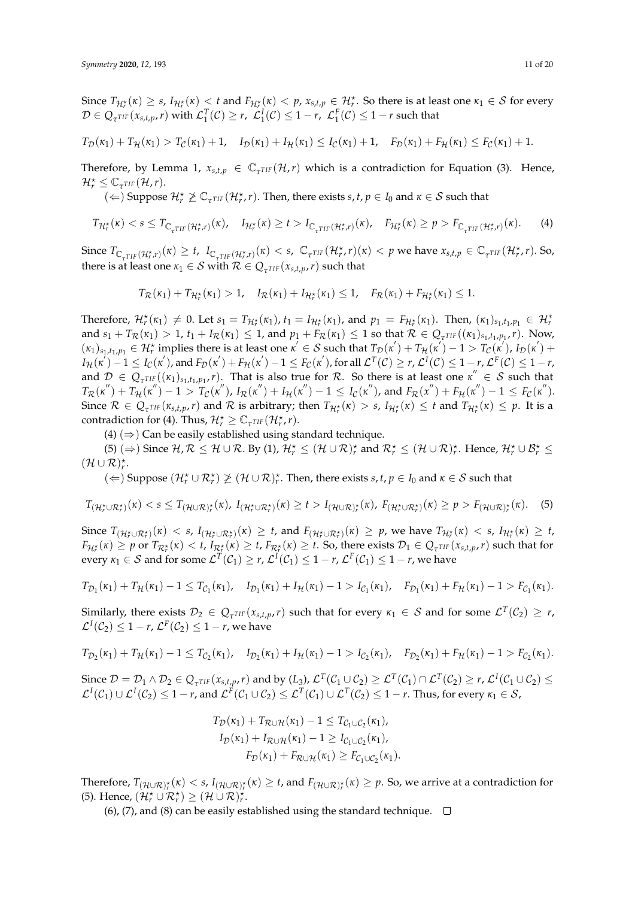Since  $T_{\mathcal{H}_r^*}(\kappa) \geq s$ ,  $I_{\mathcal{H}_r^*}(\kappa) \leq t$  and  $F_{\mathcal{H}_r^*}(\kappa) < p$ ,  $x_{s,t,p} \in \mathcal{H}_r^*$ . So there is at least one  $\kappa_1 \in \mathcal{S}$  for every  $\mathcal{D} \in Q_{\tau^{TIF}}(x_{s,t,p}, r)$  with  $\mathcal{L}_{1}^{T}(\mathcal{C}) \geq r$ ,  $\mathcal{L}_{1}^{I}(\mathcal{C}) \leq 1 - r$ ,  $\mathcal{L}_{1}^{F}(\mathcal{C}) \leq 1 - r$  such that

$$
T_{\mathcal{D}}(\kappa_1) + T_{\mathcal{H}}(\kappa_1) > T_{\mathcal{C}}(\kappa_1) + 1, \quad I_{\mathcal{D}}(\kappa_1) + I_{\mathcal{H}}(\kappa_1) \leq I_{\mathcal{C}}(\kappa_1) + 1, \quad F_{\mathcal{D}}(\kappa_1) + F_{\mathcal{H}}(\kappa_1) \leq F_{\mathcal{C}}(\kappa_1) + 1.
$$

Therefore, by Lemma 1,  $x_{s,t,p} \in \mathbb{C}_{\tau^{TIF}}(\mathcal{H},r)$  which is a contradiction for Equation (3). Hence,  $\mathcal{H}_r^{\star} \leq \mathbb{C}_{\tau^{TIF}}(\mathcal{H}, r).$ 

 $\Rightarrow$   $(\Leftarrow)$  Suppose  $\mathcal{H}_r^{\star} \not\geq \mathbb{C}_{\tau^{TIF}}(\mathcal{H}_r^{\star}, r)$ . Then, there exists *s*, *t*,  $p \in I_0$  and  $\kappa \in S$  such that

$$
T_{\mathcal{H}_r^*}(\kappa) < s \leq T_{\mathbb{C}_{\tau^{TIF}}(\mathcal{H}_r^*, r)}(\kappa), \quad I_{\mathcal{H}_r^*}(\kappa) \geq t > I_{\mathbb{C}_{\tau^{TIF}}(\mathcal{H}_r^*, r)}(\kappa), \quad F_{\mathcal{H}_r^*}(\kappa) \geq p > F_{\mathbb{C}_{\tau^{TIF}}(\mathcal{H}_r^*, r)}(\kappa). \tag{4}
$$

Since  $T_{\mathbb{C}_{\tau^{TIF}}(\mathcal{H}_{r}^{*},r)}(\kappa) \geq t$ ,  $I_{\mathbb{C}_{\tau^{TIF}}(\mathcal{H}_{r}^{*},r)}(\kappa) < s$ ,  $\mathbb{C}_{\tau^{TIF}}(\mathcal{H}_{r}^{*},r)(\kappa) < p$  we have  $x_{s,t,p} \in \mathbb{C}_{\tau^{TIF}}(\mathcal{H}_{r}^{*},r)$ . So, there is at least one  $\kappa_1 \in \mathcal{S}$  with  $\mathcal{R} \in Q_{\tau^{TIF}}(x_{s,t,p}, r)$  such that

$$
T_{\mathcal{R}}(\kappa_1) + T_{\mathcal{H}_r^*}(\kappa_1) > 1, \quad I_{\mathcal{R}}(\kappa_1) + I_{\mathcal{H}_r^*}(\kappa_1) \leq 1, \quad F_{\mathcal{R}}(\kappa_1) + F_{\mathcal{H}_r^*}(\kappa_1) \leq 1.
$$

Therefore,  $\mathcal{H}_r^{\star}(\kappa_1) \neq 0$ . Let  $s_1 = T_{\mathcal{H}_r^{\star}}(\kappa_1)$ ,  $t_1 = I_{\mathcal{H}_r^{\star}}(\kappa_1)$ , and  $p_1 = F_{\mathcal{H}_r^{\star}}(\kappa_1)$ . Then,  $(\kappa_1)_{s_1,t_1,p_1} \in \mathcal{H}_r^{\star}$ and  $s_1 + T_{\mathcal{R}}(\kappa_1) > 1$ ,  $t_1 + I_{\mathcal{R}}(\kappa_1) \leq 1$ , and  $p_1 + F_{\mathcal{R}}(\kappa_1) \leq 1$  so that  $\mathcal{R} \in Q_{\tau^{TIF}}((\kappa_1)_{s_1,t_1,p_1}, r)$ . Now,  $(\kappa_1)_{s_1,t_1,p_1} \in \mathcal{H}_r^{\star}$  implies there is at least one  $\kappa' \in \mathcal{S}$  such that  $T_{\mathcal{D}}(\kappa') + T_{\mathcal{H}}(\kappa') - 1 > T_{\mathcal{C}}(\kappa')$ ,  $I_{\mathcal{D}}(\kappa') +$  $I_{\mathcal{H}}(\kappa^{'})-1\leq I_{\mathcal{C}}(\kappa^{'})$ , and  $F_{\mathcal{D}}(\kappa^{'})+F_{\mathcal{H}}(\kappa^{'})-1\leq F_{\mathcal{C}}(\kappa^{'})$ , for all  $\mathcal{L}^{T}(\mathcal{C})\geq$   $r$ ,  $\mathcal{L}^{I}(\mathcal{C})\leq1-r$ ,  $\mathcal{L}^{F}(\mathcal{C})\leq1-r$ , and  $\mathcal{D} \in Q_{\tau^{TIF}}((\kappa_1)_{s_1,t_1,p_1},r)$ . That is also true for R. So there is at least one  $\kappa'' \in \mathcal{S}$  such that  $T_{\mathcal{R}}(\kappa^{''})+T_{\mathcal{H}}(\kappa^{''})-1>T_{\mathcal{C}}(\kappa^{''}), \ I_{\mathcal{R}}(\kappa^{''})+I_{\mathcal{H}}(\kappa^{''})-1\leq I_{\mathcal{C}}(\kappa^{''}),$  and  $F_{\mathcal{R}}(x^{''})+F_{\mathcal{H}}(\kappa^{''})-1\leq F_{\mathcal{C}}(\kappa^{''}).$ Since  $\mathcal{R} \in Q_{\tau^{TIF}}(\kappa_{s,t,p}, r)$  and  $\mathcal{R}$  is arbitrary; then  $T_{\mathcal{H}^*_{r}}(\kappa) > s$ ,  $I_{\mathcal{H}^*_{r}}(\kappa) \leq t$  and  $T_{\mathcal{H}^*_{r}}(\kappa) \leq p$ . It is a contradiction for (4). Thus,  $\mathcal{H}_r^{\star} \geq \mathbb{C}_{\tau^{TIF}}(\mathcal{H}_r^{\star}, r)$ .

(4)  $(\Rightarrow)$  Can be easily established using standard technique.

(5)  $(\Rightarrow)$  Since  $\mathcal{H}, \mathcal{R} \leq \mathcal{H} \cup \mathcal{R}$ . By (1),  $\mathcal{H}_r^{\star} \leq (\mathcal{H} \cup \mathcal{R})_r^{\star}$  and  $\mathcal{R}_r^{\star} \leq (\mathcal{H} \cup \mathcal{R})_r^{\star}$ . Hence,  $\mathcal{H}_r^{\star} \cup \mathcal{B}_r^{\star} \leq$  $(\mathcal{H} \cup \mathcal{R})_r^{\star}$ .

 $(\Leftarrow)$  Suppose  $(\mathcal{H}_r^* \cup \mathcal{R}_r^*) \not\geq (\mathcal{H} \cup \mathcal{R})_r^*$ . Then, there exists *s*, *t*,  $p \in I_0$  and  $\kappa \in S$  such that

$$
T_{(\mathcal{H}_r^{\star} \cup \mathcal{R}_r^{\star})}(\kappa) < s \leq T_{(\mathcal{H} \cup \mathcal{R})_r^{\star}}(\kappa), \ I_{(\mathcal{H}_r^{\star} \cup \mathcal{R}_r^{\star})}(\kappa) \geq t > I_{(\mathcal{H} \cup \mathcal{R})_r^{\star}}(\kappa), \ F_{(\mathcal{H}_r^{\star} \cup \mathcal{R}_r^{\star})}(\kappa) \geq p > F_{(\mathcal{H} \cup \mathcal{R})_r^{\star}}(\kappa). \tag{5}
$$

Since  $T_{(\mathcal{H}_r^{\star} \cup \mathcal{R}_r^{\star})}(\kappa) < s$ ,  $I_{(\mathcal{H}_r^{\star} \cup \mathcal{R}_r^{\star})}(\kappa) \geq t$ , and  $F_{(\mathcal{H}_r^{\star} \cup \mathcal{R}_r^{\star})}(\kappa) \geq p$ , we have  $T_{\mathcal{H}_r^{\star}}(\kappa) < s$ ,  $I_{\mathcal{H}_r^{\star}}(\kappa) \geq t$ ,  $F_{\mathcal{H}^{\star}_{r}}(\kappa)\geq p$  or  $T_{\mathcal{R}^{\star}_{r}}(\kappa)< t$ ,  $I_{\mathcal{R}^{\star}_{r}}(\kappa)\geq t$ ,  $F_{\mathcal{R}^{\star}_{r}}(\kappa)\geq t$ . So, there exists  $\mathcal{D}_{1}\in\mathcal{Q}_{\tau^{TIF}}(x_{s,t,p},r)$  such that for  $\text{every } \kappa_1 \in \mathcal{S} \text{ and for some } \mathcal{L}^T(\mathcal{C}_1) \geq r$ ,  $\mathcal{L}^I(\mathcal{C}_1) \leq 1-r$ ,  $\mathcal{L}^F(\mathcal{C}_1) \leq 1-r$ , we have

$$
T_{\mathcal{D}_1}(\kappa_1) + T_{\mathcal{H}}(\kappa_1) - 1 \leq T_{\mathcal{C}_1}(\kappa_1), \quad I_{\mathcal{D}_1}(\kappa_1) + I_{\mathcal{H}}(\kappa_1) - 1 > I_{\mathcal{C}_1}(\kappa_1), \quad F_{\mathcal{D}_1}(\kappa_1) + F_{\mathcal{H}}(\kappa_1) - 1 > F_{\mathcal{C}_1}(\kappa_1).
$$

Similarly, there exists  $\mathcal{D}_2 \in Q_{\tau^{TIF}}(x_{s,t,p}, r)$  such that for every  $\kappa_1 \in \mathcal{S}$  and for some  $\mathcal{L}^T(\mathcal{C}_2) \geq r$ ,  $\mathcal{L}^I(\mathcal{C}_2) \leq 1 - r$ ,  $\mathcal{L}^F(\mathcal{C}_2) \leq 1 - r$ , we have

$$
T_{\mathcal{D}_2}(\kappa_1) + T_{\mathcal{H}}(\kappa_1) - 1 \leq T_{\mathcal{C}_2}(\kappa_1), \quad I_{\mathcal{D}_2}(\kappa_1) + I_{\mathcal{H}}(\kappa_1) - 1 > I_{\mathcal{C}_2}(\kappa_1), \quad F_{\mathcal{D}_2}(\kappa_1) + F_{\mathcal{H}}(\kappa_1) - 1 > F_{\mathcal{C}_2}(\kappa_1).
$$

Since  $\mathcal{D} = \mathcal{D}_1 \wedge \mathcal{D}_2 \in Q_{\tau^{TIF}}(x_{s,t,p}, r)$  and by  $(L_3)$ ,  $\mathcal{L}^T(\mathcal{C}_1 \cup \mathcal{C}_2) \geq \mathcal{L}^T(\mathcal{C}_1) \cap \mathcal{L}^T(\mathcal{C}_2) \geq r$ ,  $\mathcal{L}^I(\mathcal{C}_1 \cup \mathcal{C}_2) \leq$  $\mathcal{L}^I(\mathcal{C}_1)\cup\mathcal{L}^I(\mathcal{C}_2)\leq 1-r$ , and  $\mathcal{L}^F(\mathcal{C}_1\cup\mathcal{C}_2)\leq\mathcal{L}^T(\mathcal{C}_1)\cup\mathcal{L}^T(\mathcal{C}_2)\leq 1-r.$  Thus, for every  $\kappa_1\in\mathcal{S}$ ,

$$
T_{\mathcal{D}}(\kappa_1) + T_{\mathcal{R}\cup\mathcal{H}}(\kappa_1) - 1 \leq T_{\mathcal{C}_1\cup\mathcal{C}_2}(\kappa_1),
$$
  
\n
$$
I_{\mathcal{D}}(\kappa_1) + I_{\mathcal{R}\cup\mathcal{H}}(\kappa_1) - 1 \geq I_{\mathcal{C}_1\cup\mathcal{C}_2}(\kappa_1),
$$
  
\n
$$
F_{\mathcal{D}}(\kappa_1) + F_{\mathcal{R}\cup\mathcal{H}}(\kappa_1) \geq F_{\mathcal{C}_1\cup\mathcal{C}_2}(\kappa_1).
$$

 $\text{Therefore, } T_{(\mathcal{H} \cup \mathcal{R})^{\star}_{r}}(\kappa) < s$ ,  $I_{(\mathcal{H} \cup \mathcal{R})^{\star}_{r}}(\kappa) \geq t$ , and  $F_{(\mathcal{H} \cup \mathcal{R})^{\star}_{r}}(\kappa) \geq p$ . So, we arrive at a contradiction for (5). Hence,  $(\mathcal{H}_r^{\star} \cup \mathcal{R}_r^{\star}) \geq (\mathcal{H} \cup \mathcal{R})_r^{\star}$ .

(6), (7), and (8) can be easily established using the standard technique.  $\Box$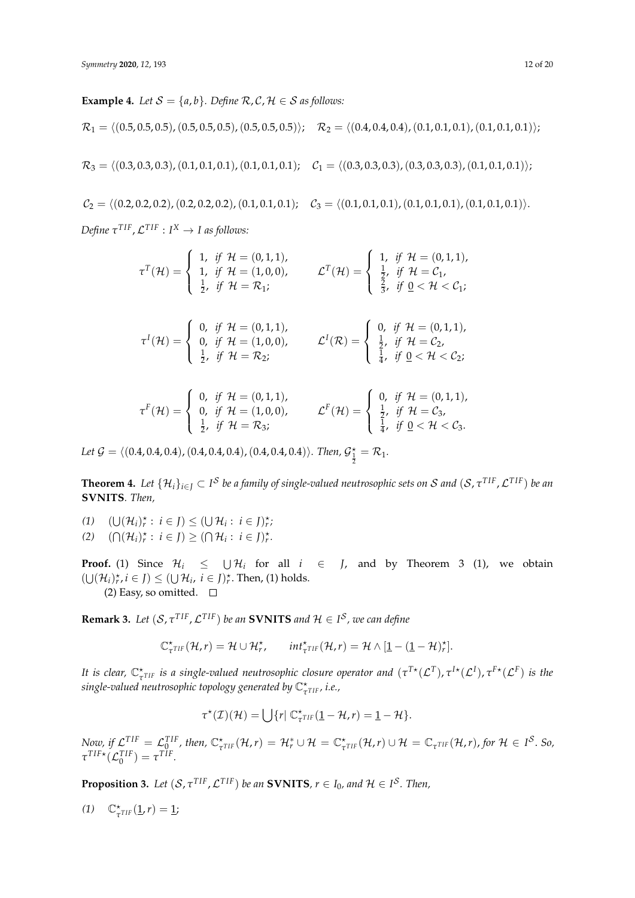**Example 4.** *Let*  $S = \{a, b\}$ *. Define*  $R, C, H \in S$  *as follows:*  $\mathcal{R}_1 = \langle (0.5, 0.5, 0.5), (0.5, 0.5, 0.5), (0.5, 0.5, 0.5)\rangle; \quad \mathcal{R}_2 = \langle (0.4, 0.4, 0.4), (0.1, 0.1, 0.1), (0.1, 0.1, 0.1)\rangle;$  $\mathcal{R}_3 = \langle (0.3, 0.3, 0.3), (0.1, 0.1, 0.1), (0.1, 0.1, 0.1); \quad \mathcal{C}_1 = \langle (0.3, 0.3, 0.3), (0.3, 0.3, 0.3), (0.1, 0.1, 0.1)\rangle;$ 

 $C_2 = \langle (0.2, 0.2, 0.2), (0.2, 0.2, 0.2), (0.1, 0.1, 0.1); \quad C_3 = \langle (0.1, 0.1, 0.1), (0.1, 0.1), (0.1, 0.1, 0.1)\rangle.$  $\mathcal{D}$ *efine*  $\tau^{\text{TIF}}$ ,  $\mathcal{L}^{\text{TIF}}$  :  $I^X \rightarrow I$  as follows:

$$
\tau^{T}(\mathcal{H}) = \begin{cases}\n1, & \text{if } \mathcal{H} = (0,1,1), \\
1, & \text{if } \mathcal{H} = (1,0,0), \\
\frac{1}{2}, & \text{if } \mathcal{H} = \mathcal{R}_{1};\n\end{cases}
$$
\n
$$
\mathcal{L}^{T}(\mathcal{H}) = \begin{cases}\n1, & \text{if } \mathcal{H} = (0,1,1), \\
\frac{1}{2}, & \text{if } \mathcal{H} = \mathcal{R}_{1}; \\
\frac{2}{3}, & \text{if } 0 < \mathcal{H} < \mathcal{C}_{1}; \\
\frac{2}{3}, & \text{if } 0 < \mathcal{H} < \mathcal{C}_{1};\n\end{cases}
$$
\n
$$
\tau^{I}(\mathcal{H}) = \begin{cases}\n0, & \text{if } \mathcal{H} = (0,1,1), \\
0, & \text{if } \mathcal{H} = (1,0,0), \\
\frac{1}{2}, & \text{if } \mathcal{H} = \mathcal{R}_{2};\n\end{cases}
$$
\n
$$
\mathcal{L}^{I}(\mathcal{R}) = \begin{cases}\n0, & \text{if } \mathcal{H} = (0,1,1), \\
\frac{1}{4}, & \text{if } 0 < \mathcal{H} < \mathcal{C}_{2}; \\
\frac{1}{4}, & \text{if } 0 < \mathcal{H} < \mathcal{C}_{2};\n\end{cases}
$$
\n
$$
\tau^{F}(\mathcal{H}) = \begin{cases}\n0, & \text{if } \mathcal{H} = (0,1,1), \\
0, & \text{if } \mathcal{H} = (1,0,0), \\
\frac{1}{2}, & \text{if } \mathcal{H} = \mathcal{R}_{3};\n\end{cases}
$$
\n
$$
\mathcal{L}^{F}(\mathcal{H}) = \begin{cases}\n0, & \text{if } \mathcal{H} = (0,1,1), \\
\frac{1}{2}, & \text{if } \mathcal{H} = \mathcal{C}_{3}, \\
\frac{1}{4}, & \text{if } 0 < \mathcal{H} < \mathcal{C}_{3}.\n\end{cases}
$$

Let  $\mathcal{G} = \langle (0.4, 0.4, 0.4), (0.4, 0.4, 0.4), (0.4, 0.4, 0.4), \rangle$ *. Then,*  $\mathcal{G}_{\frac{1}{2}}^{\star} = \mathcal{R}_1$ *.* 

 $\bf{Theorem~4.}$  Let  $\{\mathcal{H}_i\}_{i\in J}\subset I^{\mathcal{S}}$  be a family of single-valued neutrosophic sets on  $\cal S$  and  $(\cal S$ ,  $\tau^{TIF}$ ,  $\cal L^{TIF})$  be an **SVNITS***. Then,*

(1)  $(\bigcup (\mathcal{H}_i)_r^{\star} : i \in J) \leq (\bigcup \mathcal{H}_i : i \in J)_r^{\star}$ (2)  $(\bigcap (\mathcal{H}_i)_r^* : i \in J) \geq (\bigcap \mathcal{H}_i : i \in J)_r^*$ .

**Proof.** (1) Since  $\mathcal{H}_i \leq \bigcup \mathcal{H}_i$  for all  $i \in J$ , and by Theorem 3 (1), we obtain  $(\bigcup (\mathcal{H}_i)_r^*, i \in J) \leq (\bigcup \mathcal{H}_i, i \in J)_r^*$ . Then, (1) holds. (2) Easy, so omitted.  $\square$ 

**Remark 3.** Let  $(S, \tau^{TIF}, \mathcal{L}^{TIF})$  be an **SVNITS** and  $\mathcal{H} \in I^S$ , we can define

$$
\mathbb{C}^{\star}_{\tau^{TIF}}(\mathcal{H},r) = \mathcal{H} \cup \mathcal{H}^{\star}_{r}, \qquad \text{int}_{\tau^{TIF}}^{\star}(\mathcal{H},r) = \mathcal{H} \wedge [\underline{1} - (\underline{1} - \mathcal{H})^{\star}_{r}].
$$

*It is clear,*  $\mathbb{C}_{\tau^{\text{TIF}}}^{\star}$  *is a single-valued neutrosophic closure operator and*  $(\tau^{\text{T*}}(\mathcal{L}^{\text{T}}), \tau^{\text{I*}}(\mathcal{L}^{\text{I}}), \tau^{\text{F*}}(\mathcal{L}^{\text{F}})$  *is the single-valued neutrosophic topology generated by* C? *τ T IF , i.e.,*

$$
\tau^{\star}(\mathcal{I})(\mathcal{H}) = \bigcup \{ r | \mathbb{C}^{\star}_{\tau^{\text{TIF}}}(\underline{1} - \mathcal{H}, r) = \underline{1} - \mathcal{H} \}.
$$

Now, if  $\mathcal{L}^{TIF} = \mathcal{L}_{TIF}^{TIF}$ , then,  $\mathbb{C}_{\tau^{TIF}}^{\star}(\mathcal{H}, r) = \mathcal{H}_{r}^{*} \cup \mathcal{H} = \mathbb{C}_{\tau^{TIF}}^{\star}(\mathcal{H}, r) \cup \mathcal{H} = \mathbb{C}_{\tau^{TIF}}(\mathcal{H}, r)$ , for  $\mathcal{H} \in I^{\mathcal{S}}$ . So,  $\tau^{TIF*}(\mathcal{L}_0^{TIF}) = \tau^{TIF}.$ 

**Proposition 3.** Let  $(S, \tau^{TIF}, \mathcal{L}^{TIF})$  be an **SVNITS**,  $r \in I_0$ , and  $\mathcal{H} \in I^{\mathcal{S}}$ . Then,

*(1)*  $\mathbb{C}_{\tau^{TIF}}^{\star}(\underline{1}, r) = \underline{1};$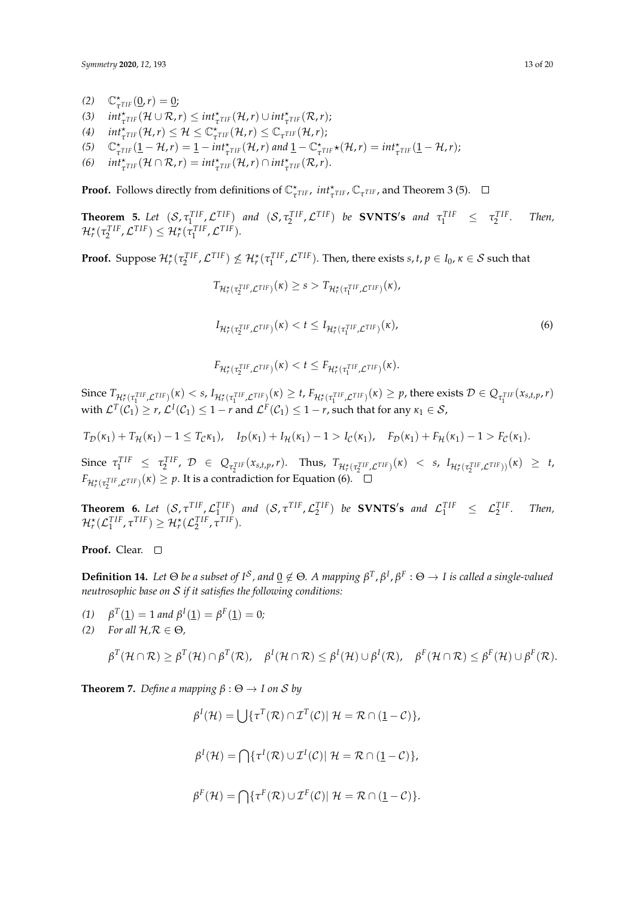*Symmetry* **2020**, 12, 193 13 of 20

- *(2)*  $C^*_{\tau^{TIF}}(\underline{0}, r) = \underline{0};$
- $\int$  *(3)*  $int_{\tau}^* \tau_{IIF}(\mathcal{H} \cup \mathcal{R}, r) \leq int_{\tau}^* \tau_{IIF}(\mathcal{H}, r) \cup int_{\tau}^* \tau_{IIF}(\mathcal{R}, r);$
- $\mathcal{H} \leq \mathbb{C}^{\star}_{\tau^{\text{TIF}}}(\mathcal{H}, r) \leq \mathcal{H} \leq \mathbb{C}^{\star}_{\tau^{\text{TIF}}}(\mathcal{H}, r) \leq \mathbb{C}_{\tau^{\text{TIF}}}(\mathcal{H}, r);$
- (5)  $\mathbb{C}_{\tau^{\text{TIF}}}^{\star}(\mathbf{1} \mathcal{H}, r) = \mathbf{1} \text{int}_{\tau^{\text{TIF}}}^{\star}(\mathcal{H}, r) \text{ and } \mathbf{1} \mathbb{C}_{\tau^{\text{TIF}}}^{\star}(\mathcal{H}, r) = \text{int}_{\tau^{\text{TIF}}}^{\star}(\mathbf{1} \mathcal{H}, r);$
- (6)  $int_{\tau}^* \mathcal{F}_{TIF}(\mathcal{H} \cap \mathcal{R}, r) = int_{\tau}^* \mathcal{F}_{TIF}(\mathcal{H}, r) \cap int_{\tau}^* \mathcal{F}_{TIF}(\mathcal{R}, r).$

**Proof.** Follows directly from definitions of  $\mathbb{C}_{\tau^{TIF}}^*$ ,  $int_{\tau^{TIF}}^* \mathbb{C}_{\tau^{TIF}}$ , and Theorem 3 (5).

**Theorem 5.** Let  $(S, \tau_1^{TIF}, \mathcal{L}^{TIF})$  and  $(S, \tau_2^{TIF}, \mathcal{L}^{TIF})$  be **SVNTS's** and  $\tau_1^{TIF} \leq \tau_2^{TIF}$ <br> $\mathcal{H}_r^{\star}(\tau_2^{TIF}, \mathcal{L}^{TIF}) \leq \mathcal{H}_r^{\star}(\tau_1^{TIF}, \mathcal{L}^{TIF}).$ *. Then,*

**Proof.** Suppose  $\mathcal{H}_r^{\star}(\tau_2^{TIF}, \mathcal{L}^{TIF}) \nleq \mathcal{H}_r^{\star}(\tau_1^{TIF}, \mathcal{L}^{TIF})$ . Then, there exists *s*, *t*,  $p \in I_0$ ,  $\kappa \in S$  such that

$$
T_{\mathcal{H}_{r}^{\star}(\tau_{2}^{TIF}, \mathcal{L}^{TIF})}(\kappa) \geq s > T_{\mathcal{H}_{r}^{\star}(\tau_{1}^{TIF}, \mathcal{L}^{TIF})}(\kappa),
$$
  
\n
$$
I_{\mathcal{H}_{r}^{\star}(\tau_{2}^{TIF}, \mathcal{L}^{TIF})}(\kappa) < t \leq I_{\mathcal{H}_{r}^{\star}(\tau_{1}^{TIF}, \mathcal{L}^{TIF})}(\kappa),
$$
  
\n
$$
F_{\mathcal{H}_{r}^{\star}(\tau_{2}^{TIF}, \mathcal{L}^{TIF})}(\kappa) < t \leq F_{\mathcal{H}_{r}^{\star}(\tau_{1}^{TIF}, \mathcal{L}^{TIF})}(\kappa).
$$
  
\n(6)

Since  $T_{\mathcal{H}^*_r(\tau_1^{TIF}, \mathcal{L}^{TIF})}(\kappa) < s$ ,  $I_{\mathcal{H}^*_r(\tau_1^{TIF}, \mathcal{L}^{TIF})}(\kappa) \ge t$ ,  $F_{\mathcal{H}^*_r(\tau_1^{TIF}, \mathcal{L}^{TIF})}(\kappa) \ge p$ , there exists  $\mathcal{D} \in Q_{\tau_1^{TIF}}(x_{s,t,p}, r)$ with  $\mathcal{L}^T(\mathcal{C}_1) \ge r$ ,  $\mathcal{L}^I(\mathcal{C}_1) \le 1-r$  and  $\mathcal{L}^F(\mathcal{C}_1) \le 1-r$ , such that for any  $\kappa_1 \in \mathcal{S}$ ,

$$
T_{\mathcal{D}}(\kappa_1) + T_{\mathcal{H}}(\kappa_1) - 1 \leq T_{\mathcal{C}}\kappa_1, \quad I_{\mathcal{D}}(\kappa_1) + I_{\mathcal{H}}(\kappa_1) - 1 > I_{\mathcal{C}}(\kappa_1), \quad F_{\mathcal{D}}(\kappa_1) + F_{\mathcal{H}}(\kappa_1) - 1 > F_{\mathcal{C}}(\kappa_1).
$$

Since  $\tau_1^{TIF} \leq \tau_2^{TIF}$ ,  $\mathcal{D} \in Q_{\tau_2^{TIF}}(x_{s,t,p}, r)$ . Thus,  $T_{\mathcal{H}_r^{\star}(\tau_2^{TIF}, \mathcal{L}^{TIF})}(x) < s$ ,  $I_{\mathcal{H}_r^{\star}(\tau_2^{TIF}, \mathcal{L}^{TIF})}(x) \geq t$ ,  $F_{\mathcal{H}_r^\star(\tau_2^{TIF}, \mathcal{L}^{TIF})}(\kappa) \geq p.$  It is a contradiction for Equation (6).

**Theorem 6.** Let  $(S, \tau^{TIF}, \mathcal{L}_1^{TIF})$  and  $(S, \tau^{TIF}, \mathcal{L}_2^{TIF})$  be **SVNTS's** and  $\mathcal{L}_1^{TIF} \leq \mathcal{L}_2^{TIF}$ <br> $\mathcal{H}_r^{\star}(\mathcal{L}_1^{TIF}, \tau^{TIF}) \geq \mathcal{H}_r^{\star}(\mathcal{L}_2^{TIF}, \tau^{TIF}).$ *. Then,*

**Proof.** Clear.

**Definition 14.** Let  $\Theta$  be a subset of  $I^S$ , and  $\underline{0} \notin \Theta$ . A mapping  $\beta^T$ ,  $\beta^I$ ,  $\beta^F$  :  $\Theta \to I$  is called a single-valued *neutrosophic base on* S *if it satisfies the following conditions:*

(1)  $\beta^T(\mathbf{1}) = 1$  *and*  $\beta^I(\mathbf{1}) = \beta^F(\mathbf{1}) = 0$ ;

*(2) For all*  $H$ *,* $R \in \Theta$ *,* 

$$
\beta^T(\mathcal{H}\cap\mathcal{R})\geq \beta^T(\mathcal{H})\cap\beta^T(\mathcal{R}),\quad \beta^I(\mathcal{H}\cap\mathcal{R})\leq \beta^I(\mathcal{H})\cup\beta^I(\mathcal{R}),\quad \beta^F(\mathcal{H}\cap\mathcal{R})\leq \beta^F(\mathcal{H})\cup\beta^F(\mathcal{R}).
$$

**Theorem 7.** *Define a mapping*  $\beta$  :  $\Theta \rightarrow I$  *on S by* 

$$
\beta^{I}(\mathcal{H}) = \bigcup \{\tau^{T}(\mathcal{R}) \cap \mathcal{I}^{T}(\mathcal{C}) | \mathcal{H} = \mathcal{R} \cap (\underline{1} - \mathcal{C})\},
$$
  

$$
\beta^{I}(\mathcal{H}) = \bigcap \{\tau^{I}(\mathcal{R}) \cup \mathcal{I}^{I}(\mathcal{C}) | \mathcal{H} = \mathcal{R} \cap (\underline{1} - \mathcal{C})\},
$$
  

$$
\beta^{F}(\mathcal{H}) = \bigcap \{\tau^{F}(\mathcal{R}) \cup \mathcal{I}^{F}(\mathcal{C}) | \mathcal{H} = \mathcal{R} \cap (\underline{1} - \mathcal{C})\}.
$$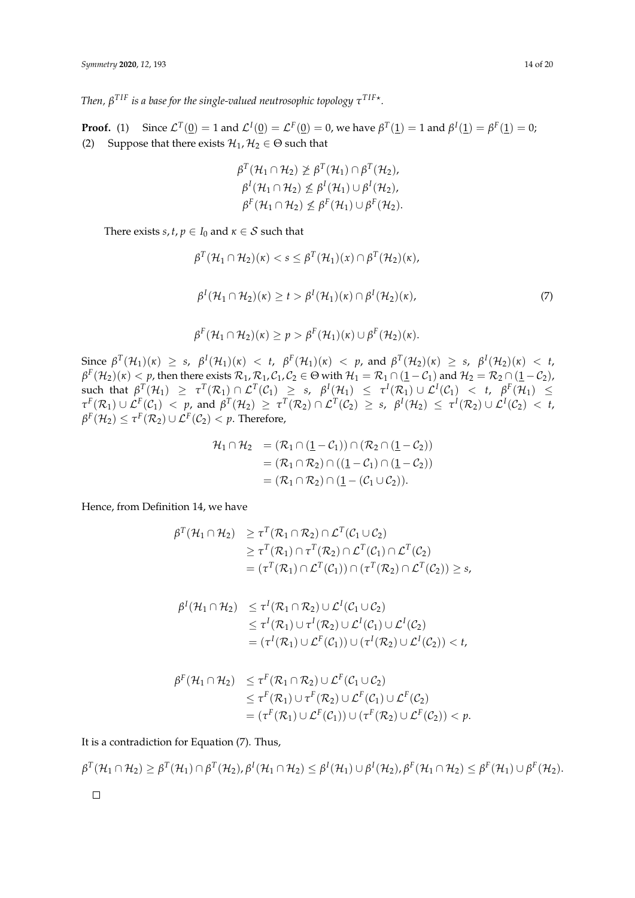*Then, β T IF is a base for the single-valued neutrosophic topology τ T IF*? *.*

**Proof.** (1) Since  $\mathcal{L}^T(\mathbf{0}) = 1$  and  $\mathcal{L}^I(\mathbf{0}) = \mathcal{L}^F(\mathbf{0}) = 0$ , we have  $\beta^T(\mathbf{1}) = 1$  and  $\beta^I(\mathbf{1}) = \beta^F(\mathbf{1}) = 0$ ; (2) Suppose that there exists  $\mathcal{H}_1, \mathcal{H}_2 \in \Theta$  such that

$$
\beta^T(\mathcal{H}_1 \cap \mathcal{H}_2) \not\geq \beta^T(\mathcal{H}_1) \cap \beta^T(\mathcal{H}_2),
$$
  
\n
$$
\beta^I(\mathcal{H}_1 \cap \mathcal{H}_2) \not\leq \beta^I(\mathcal{H}_1) \cup \beta^I(\mathcal{H}_2),
$$
  
\n
$$
\beta^F(\mathcal{H}_1 \cap \mathcal{H}_2) \not\leq \beta^F(\mathcal{H}_1) \cup \beta^F(\mathcal{H}_2).
$$

There exists *s*, *t*,  $p \in I_0$  and  $\kappa \in S$  such that

$$
\beta^{T}(\mathcal{H}_{1} \cap \mathcal{H}_{2})(\kappa) < s \leq \beta^{T}(\mathcal{H}_{1})(x) \cap \beta^{T}(\mathcal{H}_{2})(\kappa),
$$
\n
$$
\beta^{I}(\mathcal{H}_{1} \cap \mathcal{H}_{2})(\kappa) \geq t > \beta^{I}(\mathcal{H}_{1})(\kappa) \cap \beta^{I}(\mathcal{H}_{2})(\kappa), \tag{7}
$$

$$
\beta^{F}(\mathcal{H}_{1} \cap \mathcal{H}_{2})(\kappa) \geq p > \beta^{F}(\mathcal{H}_{1})(\kappa) \cup \beta^{F}(\mathcal{H}_{2})(\kappa).
$$

Since  $\beta^T(\mathcal{H}_1)(\kappa) \geq s$ ,  $\beta^I(\mathcal{H}_1)(\kappa) < t$ ,  $\beta^F(\mathcal{H}_1)(\kappa) < p$ , and  $\beta^T(\mathcal{H}_2)(\kappa) \geq s$ ,  $\beta^I(\mathcal{H}_2)(\kappa) < t$ ,  $\beta^F(\mathcal{H}_2)(\kappa) < p$ , then there exists  $\mathcal{R}_1$ ,  $\mathcal{R}_1$ ,  $\mathcal{C}_1$ ,  $\mathcal{C}_2 \in \Theta$  with  $\mathcal{H}_1 = \mathcal{R}_1 \cap (\underline{1} - \mathcal{C}_1)$  and  $\mathcal{H}_2 = \mathcal{R}_2 \cap (\underline{1} - \mathcal{C}_2)$ , such that  $\beta^T(\mathcal{H}_1) \geq \tau^T(\mathcal{R}_1) \cap \mathcal{L}^T(\mathcal{C}_1) \geq s$ ,  $\beta^I(\mathcal{H}_1) \leq \tau^I(\mathcal{R}_1) \cup \mathcal{L}^I(\mathcal{C}_1) < t$ ,  $\beta^F(\mathcal{H}_1) \leq$  $\tau^F(\mathcal{R}_1) \cup \mathcal{L}^F(\mathcal{C}_1) \ <\ p$ , and  $\beta^T(\mathcal{H}_2) \ \ge\ \tau^T(\mathcal{R}_2) \cap \mathcal{L}^T(\mathcal{C}_2) \ \ge\ s$ ,  $\ \beta^I(\mathcal{H}_2) \ \le\ \tau^I(\mathcal{R}_2) \cup \mathcal{L}^I(\mathcal{C}_2) \ <\ t$ ,  $\beta^F(\mathcal{H}_2) \leq \tau^F(\mathcal{R}_2) \cup \mathcal{L}^F(\mathcal{C}_2) < p.$  Therefore,

$$
\mathcal{H}_1 \cap \mathcal{H}_2 = (\mathcal{R}_1 \cap (\underline{1} - \mathcal{C}_1)) \cap (\mathcal{R}_2 \cap (\underline{1} - \mathcal{C}_2))
$$
  
= (\mathcal{R}\_1 \cap \mathcal{R}\_2) \cap ((\underline{1} - \mathcal{C}\_1) \cap (\underline{1} - \mathcal{C}\_2))  
= (\mathcal{R}\_1 \cap \mathcal{R}\_2) \cap (\underline{1} - (\mathcal{C}\_1 \cup \mathcal{C}\_2)).

Hence, from Definition 14, we have

$$
\beta^T(\mathcal{H}_1 \cap \mathcal{H}_2) \geq \tau^T(\mathcal{R}_1 \cap \mathcal{R}_2) \cap \mathcal{L}^T(\mathcal{C}_1 \cup \mathcal{C}_2)
$$
  
\n
$$
\geq \tau^T(\mathcal{R}_1) \cap \tau^T(\mathcal{R}_2) \cap \mathcal{L}^T(\mathcal{C}_1) \cap \mathcal{L}^T(\mathcal{C}_2)
$$
  
\n
$$
= (\tau^T(\mathcal{R}_1) \cap \mathcal{L}^T(\mathcal{C}_1)) \cap (\tau^T(\mathcal{R}_2) \cap \mathcal{L}^T(\mathcal{C}_2)) \geq s,
$$

$$
\beta^I(\mathcal{H}_1 \cap \mathcal{H}_2) \leq \tau^I(\mathcal{R}_1 \cap \mathcal{R}_2) \cup \mathcal{L}^I(\mathcal{C}_1 \cup \mathcal{C}_2) \leq \tau^I(\mathcal{R}_1) \cup \tau^I(\mathcal{R}_2) \cup \mathcal{L}^I(\mathcal{C}_1) \cup \mathcal{L}^I(\mathcal{C}_2) = (\tau^I(\mathcal{R}_1) \cup \mathcal{L}^F(\mathcal{C}_1)) \cup (\tau^I(\mathcal{R}_2) \cup \mathcal{L}^I(\mathcal{C}_2)) < t,
$$

$$
\beta^{F}(\mathcal{H}_{1} \cap \mathcal{H}_{2}) \leq \tau^{F}(\mathcal{R}_{1} \cap \mathcal{R}_{2}) \cup \mathcal{L}^{F}(\mathcal{C}_{1} \cup \mathcal{C}_{2})
$$
  
\n
$$
\leq \tau^{F}(\mathcal{R}_{1}) \cup \tau^{F}(\mathcal{R}_{2}) \cup \mathcal{L}^{F}(\mathcal{C}_{1}) \cup \mathcal{L}^{F}(\mathcal{C}_{2})
$$
  
\n
$$
= (\tau^{F}(\mathcal{R}_{1}) \cup \mathcal{L}^{F}(\mathcal{C}_{1})) \cup (\tau^{F}(\mathcal{R}_{2}) \cup \mathcal{L}^{F}(\mathcal{C}_{2})) < p.
$$

It is a contradiction for Equation (7). Thus,

$$
\beta^T(\mathcal{H}_1 \cap \mathcal{H}_2) \geq \beta^T(\mathcal{H}_1) \cap \beta^T(\mathcal{H}_2), \beta^I(\mathcal{H}_1 \cap \mathcal{H}_2) \leq \beta^I(\mathcal{H}_1) \cup \beta^I(\mathcal{H}_2), \beta^F(\mathcal{H}_1 \cap \mathcal{H}_2) \leq \beta^F(\mathcal{H}_1) \cup \beta^F(\mathcal{H}_2).
$$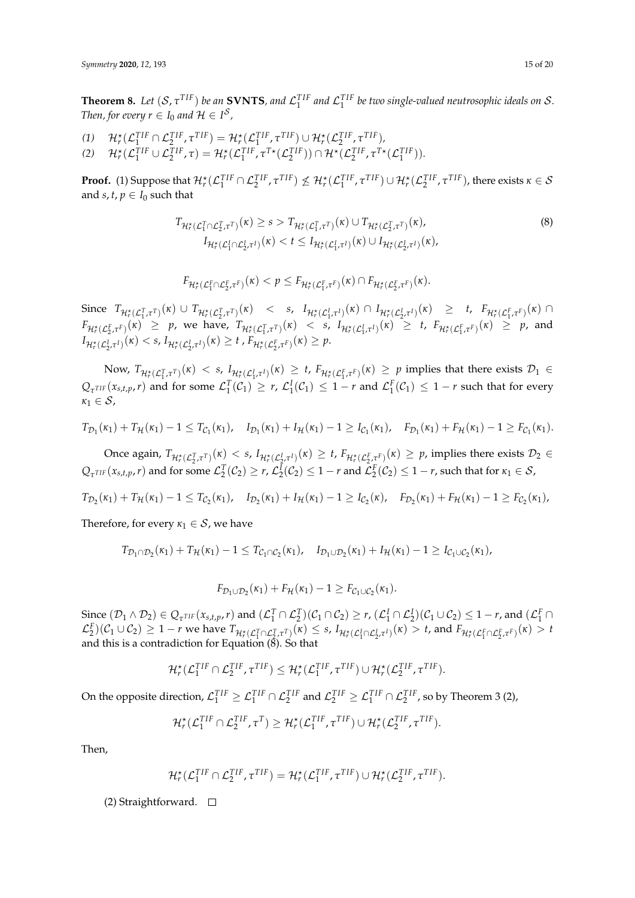**Theorem 8.** Let  $(S, \tau^{TIF})$  be an **SVNTS**, and  $\mathcal{L}_1^{TIF}$  and  $\mathcal{L}_1^{TIF}$  be two single-valued neutrosophic ideals on S. *Then, for every*  $r \in I_0$  and  $H \in I^S$ ,

 $\mathcal{H}_r^{\star}(\mathcal{L}_1^{TIF} \cap \mathcal{L}_2^{TIF}, \tau^{TIF}) = \mathcal{H}_r^{\star}(\mathcal{L}_1^{TIF}, \tau^{TIF}) \cup \mathcal{H}_r^{\star}(\mathcal{L}_2^{TIF}, \tau^{TIF}),$  $\mathcal{H}_r^{\star}(\mathcal{L}_1^{TIF} \cup \mathcal{L}_2^{TIF}, \tau) = \mathcal{H}_r^{\star}(\mathcal{L}_1^{TIF}, \tau^{T\star}(\mathcal{L}_2^{TIF})) \cap \mathcal{H}^{\star}(\mathcal{L}_2^{TIF}, \tau^{T\star}(\mathcal{L}_1^{TIF})).$ 

**Proof.** (1) Suppose that  $\mathcal{H}_r^{\star}(\mathcal{L}_1^{TIF} \cap \mathcal{L}_2^{TIF}, \tau^{TIF}) \nleq \mathcal{H}_r^{\star}(\mathcal{L}_1^{TIF}, \tau^{TIF}) \cup \mathcal{H}_r^{\star}(\mathcal{L}_2^{TIF}, \tau^{TIF})$ , there exists  $\kappa \in \mathcal{S}$ and *s*,  $t$ ,  $p \in I_0$  such that

$$
T_{\mathcal{H}_r^{\star}(\mathcal{L}_1^T \cap \mathcal{L}_2^T, \tau^T)}(\kappa) \ge s > T_{\mathcal{H}_r^{\star}(\mathcal{L}_1^T, \tau^T)}(\kappa) \cup T_{\mathcal{H}_r^{\star}(\mathcal{L}_2^T, \tau^T)}(\kappa),
$$
\n
$$
I_{\mathcal{H}_r^{\star}(\mathcal{L}_1^I \cap \mathcal{L}_2^I, \tau^I)}(\kappa) < t \le I_{\mathcal{H}_r^{\star}(\mathcal{L}_1^I, \tau^I)}(\kappa) \cup I_{\mathcal{H}_r^{\star}(\mathcal{L}_2^I, \tau^I)}(\kappa),
$$
\n
$$
(8)
$$

$$
F_{\mathcal{H}_r^{\star}(\mathcal{L}_1^F \cap \mathcal{L}_2^F, \tau^F)}(\kappa) < p \leq F_{\mathcal{H}_r^{\star}(\mathcal{L}_1^F, \tau^F)}(\kappa) \cap F_{\mathcal{H}_r^{\star}(\mathcal{L}_2^F, \tau^F)}(\kappa).
$$

Since  $T_{\mathcal{H}_{r}^{*}(\mathcal{L}_{1}^{T},\tau^{T})}(x) \cup T_{\mathcal{H}_{r}^{*}(\mathcal{L}_{2}^{T},\tau^{T})}(x) < s, I_{\mathcal{H}_{r}^{*}(\mathcal{L}_{1}^{I},\tau^{I})}(x) \cap I_{\mathcal{H}_{r}^{*}(\mathcal{L}_{2}^{I},\tau^{I})}(x) \geq t, F_{\mathcal{H}_{r}^{*}(\mathcal{L}_{1}^{F},\tau^{F})}(x) \cap$  $F_{\mathcal{H}_r^*(\mathcal{L}_2^F, \tau^F)}(\kappa) \geq p$ , we have,  $T_{\mathcal{H}_r^*(\mathcal{L}_1^T, \tau^T)}(\kappa) < s$ ,  $I_{\mathcal{H}_r^*(\mathcal{L}_1^F, \tau^I)}(\kappa) \geq t$ ,  $F_{\mathcal{H}_r^*(\mathcal{L}_1^F, \tau^F)}(\kappa) \geq p$ , and  $I_{\mathcal{H}_r^{\star}(\mathcal{L}_2^l, \tau^I)}(\kappa) < s$ ,  $I_{\mathcal{H}_r^{\star}(\mathcal{L}_2^l, \tau^I)}(\kappa) \geq t$ ,  $F_{\mathcal{H}_r^{\star}(\mathcal{L}_2^F, \tau^F)}(\kappa) \geq p$ .

Now,  $T_{\mathcal{H}_{r}^{\star}(\mathcal{L}_{1}^{T},\tau^{T})}(x) < s$ ,  $I_{\mathcal{H}_{r}^{\star}(\mathcal{L}_{1}^{I},\tau^{I})}(x) \geq t$ ,  $F_{\mathcal{H}_{r}^{\star}(\mathcal{L}_{1}^{F},\tau^{F})}(x) \geq p$  implies that there exists  $\mathcal{D}_{1} \in$  $Q_{\tau^{TIF}}(x_{s,t,p}, r)$  and for some  $\mathcal{L}_{1}^{T}(C_{1}) \geq r$ ,  $\mathcal{L}_{1}^{I}(C_{1}) \leq 1 - r$  and  $\mathcal{L}_{1}^{F}(C_{1}) \leq 1 - r$  such that for every  $\kappa_1 \in \mathcal{S}$ ,

$$
T_{\mathcal{D}_1}(\kappa_1) + T_{\mathcal{H}}(\kappa_1) - 1 \leq T_{\mathcal{C}_1}(\kappa_1), \quad I_{\mathcal{D}_1}(\kappa_1) + I_{\mathcal{H}}(\kappa_1) - 1 \geq I_{\mathcal{C}_1}(\kappa_1), \quad F_{\mathcal{D}_1}(\kappa_1) + F_{\mathcal{H}}(\kappa_1) - 1 \geq F_{\mathcal{C}_1}(\kappa_1).
$$

Once again,  $T_{\mathcal{H}^{\star}_r(\mathcal{L}^T_2,\tau^T)}(\kappa)< s$ ,  $I_{\mathcal{H}^{\star}_r(\mathcal{L}^I_2,\tau^I)}(\kappa)\geq t$ ,  $F_{\mathcal{H}^{\star}_r(\mathcal{L}^F_2,\tau^F)}(\kappa)\geq p$ , implies there exists  $\mathcal{D}_2\in$  $Q_{\tau^{TIF}}(x_{s,t,p}, r)$  and for some  $\mathcal{L}_2^T(\mathcal{C}_2) \ge r$ ,  $\mathcal{L}_2^T(\mathcal{C}_2) \le 1 - r$  and  $\mathcal{L}_2^F(\mathcal{C}_2) \le 1 - r$ , such that for  $\kappa_1 \in \mathcal{S}$ ,

$$
T_{\mathcal{D}_2}(\kappa_1) + T_{\mathcal{H}}(\kappa_1) - 1 \leq T_{\mathcal{C}_2}(\kappa_1), \quad I_{\mathcal{D}_2}(\kappa_1) + I_{\mathcal{H}}(\kappa_1) - 1 \geq I_{\mathcal{C}_2}(\kappa), \quad F_{\mathcal{D}_2}(\kappa_1) + F_{\mathcal{H}}(\kappa_1) - 1 \geq F_{\mathcal{C}_2}(\kappa_1),
$$

Therefore, for every  $\kappa_1 \in S$ , we have

$$
T_{\mathcal{D}_1 \cap \mathcal{D}_2}(\kappa_1) + T_{\mathcal{H}}(\kappa_1) - 1 \leq T_{\mathcal{C}_1 \cap \mathcal{C}_2}(\kappa_1), \quad I_{\mathcal{D}_1 \cup \mathcal{D}_2}(\kappa_1) + I_{\mathcal{H}}(\kappa_1) - 1 \geq I_{\mathcal{C}_1 \cup \mathcal{C}_2}(\kappa_1),
$$

$$
F_{\mathcal{D}_1 \cup \mathcal{D}_2}(\kappa_1) + F_{\mathcal{H}}(\kappa_1) - 1 \geq F_{\mathcal{C}_1 \cup \mathcal{C}_2}(\kappa_1).
$$

 $\text{Since } (\mathcal{D}_1 \wedge \mathcal{D}_2) \in Q_{\tau^{TIF}}(x_{s,t,p}, r) \text{ and } (\mathcal{L}_1^T \cap \mathcal{L}_2^T)(\mathcal{C}_1 \cap \mathcal{C}_2) \ge r$ ,  $(\mathcal{L}_1^I \cap \mathcal{L}_2^I)(\mathcal{C}_1 \cup \mathcal{C}_2) \le 1 - r$ , and  $(\mathcal{L}_1^F \cap \mathcal{L}_2^I)$  $\mathcal{L}_2^F(C_1 \cup C_2) \ge 1-r$  we have  $T_{\mathcal{H}_r^*(\mathcal{L}_1^T \cap \mathcal{L}_{2,\tau}^T \tau)}(k) \le s$ ,  $I_{\mathcal{H}_r^*(\mathcal{L}_1^I \cap \mathcal{L}_2^I \tau^I)}(k) > t$ , and  $F_{\mathcal{H}_r^*(\mathcal{L}_1^F \cap \mathcal{L}_2^F \tau^F)}(k) > t$ and this is a contradiction for Equation  $(\hat{8})$ . So that

$$
\mathcal{H}_r^{\star}(\mathcal{L}_1^{TIF} \cap \mathcal{L}_2^{TIF}, \tau^{TIF}) \leq \mathcal{H}_r^{\star}(\mathcal{L}_1^{TIF}, \tau^{TIF}) \cup \mathcal{H}_r^{\star}(\mathcal{L}_2^{TIF}, \tau^{TIF}).
$$

On the opposite direction,  $\mathcal{L}_1^{TIF} \geq \mathcal{L}_1^{TIF} \cap \mathcal{L}_2^{TIF}$  and  $\mathcal{L}_2^{TIF} \geq \mathcal{L}_1^{TIF} \cap \mathcal{L}_2^{TIF}$ , so by Theorem 3 (2),

$$
\mathcal{H}_r^{\star}(\mathcal{L}_1^{TIF} \cap \mathcal{L}_2^{TIF}, \tau^T) \geq \mathcal{H}_r^{\star}(\mathcal{L}_1^{TIF}, \tau^{TIF}) \cup \mathcal{H}_r^{\star}(\mathcal{L}_2^{TIF}, \tau^{TIF}).
$$

Then,

$$
\mathcal{H}_r^{\star}(\mathcal{L}_1^{TIF} \cap \mathcal{L}_2^{TIF}, \tau^{TIF}) = \mathcal{H}_r^{\star}(\mathcal{L}_1^{TIF}, \tau^{TIF}) \cup \mathcal{H}_r^{\star}(\mathcal{L}_2^{TIF}, \tau^{TIF}).
$$

(2) Straightforward.  $\square$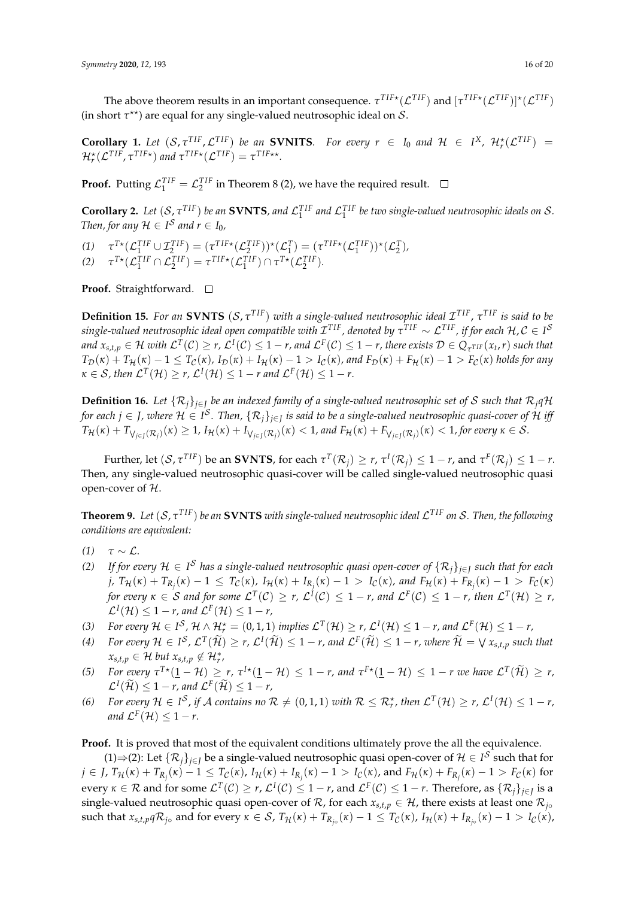The above theorem results in an important consequence.  $\tau^{TIF \star}(\mathcal{L}^{TIF})$  and  $[\tau^{TIF \star}(\mathcal{L}^{TIF})]^\star(\mathcal{L}^{TIF})$ (in short  $\tau^{\star\star}$ ) are equal for any single-valued neutrosophic ideal on  $\mathcal{S}$ .

**Corollary 1.** Let  $(S, \tau^{TIF}, \mathcal{L}^{TIF})$  be an **SVNITS***. For every*  $r \in I_0$  and  $\mathcal{H} \in I^X$ ,  $\mathcal{H}_r^{\star}(\mathcal{L}^{TIF})$  =  $\mathcal{H}_r^{\star}(\mathcal{L}^{TIF}, \tau^{TIF*})$  and  $\tau^{TIF*}(\mathcal{L}^{TIF}) = \tau^{TIF**}$ .

**Proof.** Putting  $\mathcal{L}_1^{TIF} = \mathcal{L}_2^{TIF}$  in Theorem 8 (2), we have the required result.

**Corollary 2.** Let  $(S, \tau^{TIF})$  be an **SVNTS**, and  $\mathcal{L}_1^{TIF}$  and  $\mathcal{L}_1^{TIF}$  be two single-valued neutrosophic ideals on S. *Then, for any*  $H \in I^S$  *and*  $r \in I_0$ *,* 

 $\tau^{T*}(\mathcal{L}_1^{TIF} \cup \mathcal{I}_2^{TIF}) = (\tau^{TIF*}(\mathcal{L}_2^{TIF}))^*(\mathcal{L}_1^{T} = (\tau^{TIF*}(\mathcal{L}_1^{TIF}))^*(\mathcal{L}_2^{T}).$ (2)  $\tau^{T*}(\mathcal{L}_1^{TIF} \cap \mathcal{L}_2^{TIF}) = \tau^{TIF*}(\mathcal{L}_1^{TIF}) \cap \tau^{T*}(\mathcal{L}_2^{TIF}).$ 

**Proof.** Straightforward. □

**Definition 15.** For an SVNTS  $(S, \tau^{TIF})$  with a single-valued neutrosophic ideal  $\mathcal{I}^{TIF}$ ,  $\tau^{TIF}$  is said to be  $s$ ingle-valued neutrosophic ideal open compatible with  $\cal I^{TIF}$  , denoted by  $\tau^{TIF}\sim\cal L^{TIF}$  , if for each  $\cal H, C\in I^S$ and  $x_{s,t,p}\in\mathcal{H}$  with  $\mathcal{L}^T(\mathcal{C})\geq r$ ,  $\mathcal{L}^I(\mathcal{C})\leq 1-r$ , and  $\mathcal{L}^F(\mathcal{C})\leq 1-r$ , there exists  $\mathcal{D}\in Q_{\tau^{TIF}}(x_t,r)$  such that  $T_{\mathcal{D}}(\kappa) + T_{\mathcal{H}}(\kappa) - 1 \leq T_{\mathcal{C}}(\kappa)$ ,  $I_{\mathcal{D}}(\kappa) + I_{\mathcal{H}}(\kappa) - 1 > I_{\mathcal{C}}(\kappa)$ , and  $F_{\mathcal{D}}(\kappa) + F_{\mathcal{H}}(\kappa) - 1 > F_{\mathcal{C}}(\kappa)$  holds for any  $\kappa \in S$ , then  $\mathcal{L}^{T}(\mathcal{H}) \geq r$ ,  $\mathcal{L}^{I}(\mathcal{H}) \leq 1 - r$  and  $\mathcal{L}^{F}(\mathcal{H}) \leq 1 - r$ .

**Definition 16.** Let  $\{\mathcal{R}_j\}_{j\in J}$  be an indexed family of a single-valued neutrosophic set of S such that  $\mathcal{R}_j q$ H for each  $j\in J$ , where  $\mathcal{H}\in I^\mathcal{S}.$  Then,  $\{\mathcal{R}_j\}_{j\in J}$  is said to be a single-valued neutrosophic quasi-cover of  $\mathcal H$  iff  $T_{\mathcal{H}}(\kappa)+T_{\bigvee_{j\in J}(\mathcal{R}_j)}(\kappa)\geq 1$ ,  $I_{\mathcal{H}}(\kappa)+I_{\bigvee_{j\in J}(\mathcal{R}_j)}(\kappa)<1$ , and  $F_{\mathcal{H}}(\kappa)+F_{\bigvee_{j\in J}(\mathcal{R}_j)}(\kappa)<1$ , for every  $\kappa\in\mathcal{S}.$ 

*Further, let*  $(S, \tau^{TIF})$  be an **SVNTS**, for each  $\tau^T(\mathcal{R}_j) \geq r$ ,  $\tau^I(\mathcal{R}_j) \leq 1 - r$ , and  $\tau^F(\mathcal{R}_j) \leq 1 - r$ . Then, any single-valued neutrosophic quasi-cover will be called single-valued neutrosophic quasi open-cover of H.

**Theorem 9.** *Let* (S, *τ T IF*) *be an* **SVNTS** *with single-valued neutrosophic ideal* L *T IF on* S*. Then, the following conditions are equivalent:*

- *(1)*  $\tau \sim \mathcal{L}$ .
- *(2)* If for every  $H ∈ I^S$  has a single-valued neutrosophic quasi open-cover of  $\{R_j\}_{j∈J}$  such that for each j,  $T_{\mathcal{H}}(\kappa) + T_{R_j}(\kappa) - 1 \leq T_{\mathcal{C}}(\kappa)$ ,  $I_{\mathcal{H}}(\kappa) + I_{R_j}(\kappa) - 1 > I_{\mathcal{C}}(\kappa)$ , and  $F_{\mathcal{H}}(\kappa) + F_{R_j}(\kappa) - 1 > F_{\mathcal{C}}(\kappa)$ for every  $\kappa \in \mathcal{S}$  and for some  $\mathcal{L}^T(\mathcal{C}) \geq r$ ,  $\mathcal{L}^I(\mathcal{C}) \leq 1-r$ , and  $\mathcal{L}^F(\mathcal{C}) \leq 1-r$ , then  $\mathcal{L}^T(\mathcal{H}) \geq r$ ,  $\mathcal{L}^{I}(\mathcal{H}) \leq 1 - r$ , and  $\mathcal{L}^{F}(\mathcal{H}) \leq 1 - r$ ,
- *(3) For every*  $H \in I^{\mathcal{S}}$ ,  $H \wedge H_r^* = (0, 1, 1)$  *implies*  $\mathcal{L}^T(\mathcal{H}) \ge r$ ,  $\mathcal{L}^I(\mathcal{H}) \le 1 r$ , and  $\mathcal{L}^F(\mathcal{H}) \le 1 r$ ,
- $(4)$  *For every*  $H \in I^{\mathcal{S}}$ ,  $\mathcal{L}^{\mathsf{T}}(\widetilde{\mathcal{H}}) \geq r$ ,  $\mathcal{L}^{\mathsf{T}}(\widetilde{\mathcal{H}}) \leq 1 r$ , and  $\mathcal{L}^{\mathsf{F}}(\widetilde{\mathcal{H}}) \leq 1 r$ , where  $\widetilde{\mathcal{H}} = \bigvee x_{s,t,p}$  such that  $x_{s,t,p} \in \mathcal{H}$  *but*  $x_{s,t,p} \notin \mathcal{H}_r^*$ ,
- (5) For every  $\tau^{T*}(\mathbf{1}-\mathcal{H}) \geq r$ ,  $\tau^{I*}(\mathbf{1}-\mathcal{H}) \leq 1-r$ , and  $\tau^{F*}(\mathbf{1}-\mathcal{H}) \leq 1-r$  we have  $\mathcal{L}^{T}(\widetilde{\mathcal{H}}) \geq r$ ,  $\mathcal{L}^I(\tilde{\mathcal{H}}) \leq 1 - r$ , and  $\mathcal{L}^F(\tilde{\mathcal{H}}) \leq 1 - r$ ,
- *(6)* For every  $H \in I^{\mathcal{S}}$ , if A contains no  $\mathcal{R} \neq (0, 1, 1)$  with  $\mathcal{R} \leq \mathcal{R}_r^{\star}$ , then  $\mathcal{L}^{T}(\mathcal{H}) \geq r$ ,  $\mathcal{L}^{I}(\mathcal{H}) \leq 1 r$ , and  $\mathcal{L}^F(\mathcal{H}) \leq 1-r$ .

**Proof.** It is proved that most of the equivalent conditions ultimately prove the all the equivalence.

(1)⇒(2): Let  $\{R_j\}_{j\in J}$  be a single-valued neutrosophic quasi open-cover of  $H \in I^S$  such that for  $j\in J$ ,  $T_{\mathcal{H}}(\kappa)+T_{R_j}(\kappa)-1\leq T_{\mathcal{C}}(\kappa)$ ,  $I_{\mathcal{H}}(\kappa)+I_{R_j}(\kappa)-1>I_{\mathcal{C}}(\kappa)$ , and  $F_{\mathcal{H}}(\kappa)+F_{R_j}(\kappa)-1>F_{\mathcal{C}}(\kappa)$  for  $e$ νery *κ* ∈ *R* and for some  $\mathcal{L}^T(\mathcal{C}) ≥ r$ ,  $\mathcal{L}^I(\mathcal{C}) ≤ 1 - r$ , and  $\mathcal{L}^F(\mathcal{C}) ≤ 1 - r$ . Therefore, as  $\{\mathcal{R}_j\}_{j\in J}$  is a single-valued neutrosophic quasi open-cover of  $R$ , for each  $x_{s,t,p} \in H$ , there exists at least one  $R_{j\circ}$ such that  $x_{s,t,p} q \mathcal{R}_{j\circ}$  and for every  $\kappa \in \mathcal{S}$ ,  $T_{\mathcal{H}}(\kappa) + T_{R_{j\circ}}(\kappa) - 1 \leq T_{\mathcal{C}}(\kappa)$ ,  $I_{\mathcal{H}}(\kappa) + I_{R_{j\circ}}(\kappa) - 1 > I_{\mathcal{C}}(\kappa)$ ,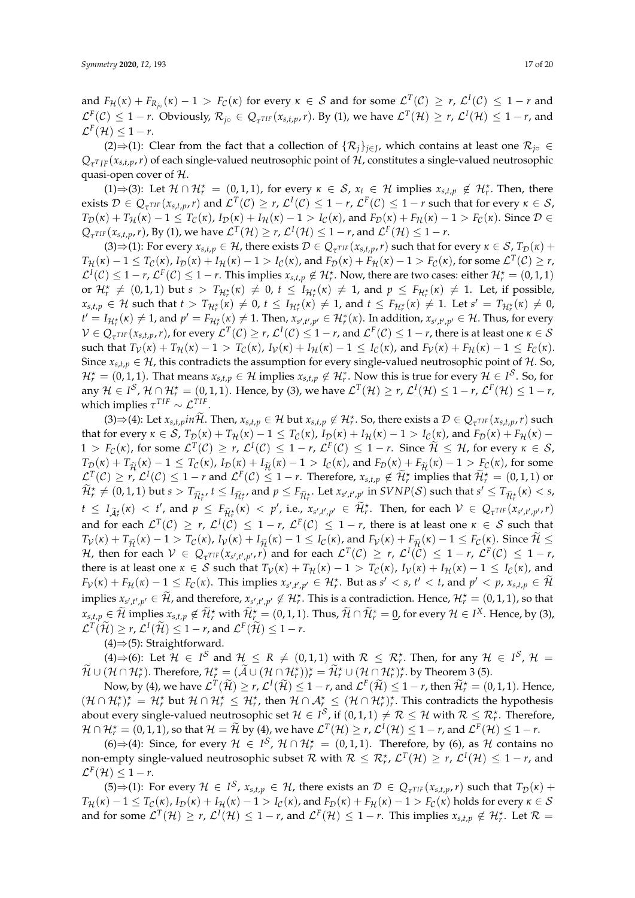and  $F_{\mathcal{H}}(\kappa) + F_{R_{j\circ}}(\kappa) - 1 > F_{\mathcal{C}}(\kappa)$  for every  $\kappa \in \mathcal{S}$  and for some  $\mathcal{L}^{T}(\mathcal{C}) \geq r$ ,  $\mathcal{L}^{I}(\mathcal{C}) \leq 1 - r$  and  $\mathcal{L}^{\text{F}}_{\text{I}}(\mathcal{C}) \leq 1-r$ . Obviously,  $\mathcal{R}_{j0} \in Q_{\tau^{TIF}}(x_{s,t,p}, r)$ . By (1), we have  $\mathcal{L}^{T}(\mathcal{H}) \geq r$ ,  $\mathcal{L}^{I}(\mathcal{H}) \leq 1-r$ , and  $\mathcal{L}^F(\mathcal{H}) \leq 1-r.$ 

(2)⇒(1): Clear from the fact that a collection of  $\{R_j\}_{j\in J}$ , which contains at least one  $\mathcal{R}_{j\circ}$  ∈  $Q_{\tau^{T}IF}(x_{s,t,p},r)$  of each single-valued neutrosophic point of H, constitutes a single-valued neutrosophic quasi-open cover of  $H$ .

(1)⇒(3): Let  $\mathcal{H} \cap \mathcal{H}^{\star} = (0,1,1)$ , for every  $\kappa \in \mathcal{S}$ ,  $x_t \in \mathcal{H}$  implies  $x_{s,t,p} \notin \mathcal{H}^{\star}_r$ . Then, there exists  $\mathcal{D} \in Q_{\tau^{TIF}}(x_{s,t,p}, r)$  and  $\mathcal{L}^{T}(\mathcal{C}) \geq r$ ,  $\mathcal{L}^{I}(\mathcal{C}) \leq 1-r$ ,  $\mathcal{L}^{F}(\mathcal{C}) \leq 1-r$  such that for every  $\kappa \in \mathcal{S}$ , *T*<sub>D</sub>(*κ*) + *T*<sub>H</sub>(*κ*) − 1 ≤ *T*<sub>C</sub>(*κ*), *I*<sub>D</sub>(*κ*) + *I*<sub>H</sub>(*κ*) − 1 > *I*<sub>C</sub>(*κ*), and *F*<sub>D</sub>(*κ*) + *F*<sub>H</sub>(*κ*) − 1 > *F*<sub>C</sub>(*κ*). Since D ∈  $Q_{\tau^{TIF}}(x_{s,t,p}, r)$ , By (1), we have  $\mathcal{L}^{T}(\mathcal{H}) \geq r$ ,  $\mathcal{L}^{I}(\mathcal{H}) \leq 1 - r$ , and  $\mathcal{L}^{F}(\mathcal{H}) \leq 1 - r$ .

 $(3) \Rightarrow (1)$ : For every  $x_{s,t,p} \in H$ , there exists  $D \in Q_{\tau^{TIF}}(x_{s,t,p}, r)$  such that for every  $\kappa \in S$ ,  $T_{\mathcal{D}}(\kappa)$  +  $T_{\mathcal{H}}(\kappa)-1\leq T_{\mathcal{C}}(\kappa)$ ,  $I_{\mathcal{D}}(\kappa)+I_{\mathcal{H}}(\kappa)-1>I_{\mathcal{C}}(\kappa)$ , and  $F_{\mathcal{D}}(\kappa)+F_{\mathcal{H}}(\kappa)-1>F_{\mathcal{C}}(\kappa)$ , for some  $\mathcal{L}^{T}(\mathcal{C})\geq r$ ,  $\mathcal{L}^I(\mathcal{C}) \leq 1-r$ ,  $\mathcal{L}^F(\mathcal{C}) \leq 1-r$ . This implies  $x_{s,t,p} \notin \mathcal{H}^{\star}_r$ . Now, there are two cases: either  $\mathcal{H}^{\star}_r = (0,1,1)$ or  $\mathcal{H}^{\star}_{r} \neq (0, 1, 1)$  but  $s > T_{\mathcal{H}^{\star}_{r}}(\kappa) \neq 0$ ,  $t \leq I_{\mathcal{H}^{\star}_{r}}(\kappa) \neq 1$ , and  $p \leq F_{\mathcal{H}^{\star}_{r}}(\kappa) \neq 1$ . Let, if possible,  $x_{s,t,p} \in \mathcal{H}$  such that  $t > T_{\mathcal{H}^{\star}_r}(\kappa) \neq 0$ ,  $t \leq I_{\mathcal{H}^{\star}_r}(\kappa) \neq 1$ , and  $t \leq F_{\mathcal{H}^{\star}_r}(\kappa) \neq 1$ . Let  $s' = T_{\mathcal{H}^{\star}_r}(\kappa) \neq 0$ ,  $t' = I_{\mathcal{H}^{\star}_r}(\kappa) \neq 1$ , and  $p' = F_{\mathcal{H}^{\star}_r}(\kappa) \neq 1$ . Then,  $x_{s',t',p'} \in \mathcal{H}^{\ast}_r(\kappa)$ . In addition,  $x_{s',t',p'} \in \mathcal{H}$ . Thus, for every  $\mathcal{V} \in Q_{\tau^{TIF}}(x_{s,t,p}, r)$ , for every  $\mathcal{L}^{T}(\mathcal{C}) \geq r$ ,  $\mathcal{L}^{I}(\mathcal{C}) \leq 1-r$ , and  $\mathcal{L}^{F}(\mathcal{C}) \leq 1-r$ , there is at least one  $\kappa \in \mathcal{S}$ such that  $T_V(\kappa) + T_H(\kappa) - 1 > T_C(\kappa)$ ,  $I_V(\kappa) + I_H(\kappa) - 1 \leq I_C(\kappa)$ , and  $F_V(\kappa) + F_H(\kappa) - 1 \leq F_C(\kappa)$ . Since  $x_{s,t,p} \in \mathcal{H}$ , this contradicts the assumption for every single-valued neutrosophic point of  $\mathcal{H}$ . So,  $\mathcal{H}^{\star}_{r} = (0,1,1)$ . That means  $x_{s,t,p} \in \mathcal{H}$  implies  $x_{s,t,p} \notin \mathcal{H}^{\ast}_{r}$ . Now this is true for every  $\mathcal{H} \in I^{\mathcal{S}}$ . So, for any  $H \in I^S$ ,  $H \cap H_r^* = (0,1,1)$ . Hence, by (3), we have  $\mathcal{L}^T(\mathcal{H}) \ge r$ ,  $\mathcal{L}^I(\mathcal{H}) \le 1 - r$ ,  $\mathcal{L}^F(\mathcal{H}) \le 1 - r$ , which implies  $\tau^{TIF} \sim \mathcal{L}^{TIF}$ .

(3)  $\Rightarrow$  (4): Let  $x_{s,t,p}$  in  $\widetilde{\mathcal{H}}$ . Then,  $x_{s,t,p} \in \mathcal{H}$  but  $x_{s,t,p} \notin \mathcal{H}^{\star}_{r}$ . So, there exists a  $\mathcal{D} \in Q_{\tau^{TIF}}(x_{s,t,p}, r)$  such that for every  $\kappa \in S$ ,  $T_{\mathcal{D}}(\kappa) + T_{\mathcal{H}}(\kappa) - 1 \leq T_{\mathcal{C}}(\kappa)$ ,  $I_{\mathcal{D}}(\kappa) + I_{\mathcal{H}}(\kappa) - 1 > I_{\mathcal{C}}(\kappa)$ , and  $F_{\mathcal{D}}(\kappa) + F_{\mathcal{H}}(\kappa) 1 > F_C(\kappa)$ , for some  $\mathcal{L}^T(\mathcal{C}) \ge r$ ,  $\mathcal{L}^I(\mathcal{C}) \le 1 - r$ ,  $\mathcal{L}^F(\mathcal{C}) \le 1 - r$ . Since  $\mathcal{H} \le \mathcal{H}$ , for every  $\kappa \in \mathcal{S}$ ,  $T_{\mathcal{D}}(\kappa) + T_{\widetilde{\mathcal{H}}}(\kappa) - 1 \leq T_{\mathcal{C}}(\kappa)$ ,  $I_{\mathcal{D}}(\kappa) + I_{\widetilde{\mathcal{H}}}(\kappa) - 1 > I_{\mathcal{C}}(\kappa)$ , and  $F_{\mathcal{D}}(\kappa) + F_{\widetilde{\mathcal{H}}}(\kappa) - 1 > F_{\mathcal{C}}(\kappa)$ , for some  $\mathcal{L}^T(\mathcal{C}) \geq r$ ,  $\mathcal{L}^I(\mathcal{C}) \leq 1 - r$  and  $\mathcal{L}^F(\mathcal{C}) \leq 1 - r$ . Therefore,  $x_{s,t,p} \notin \widetilde{\mathcal{H}}_r^*$  implies that  $\widetilde{\mathcal{H}}_r^* = (0,1,1)$  or  $\widetilde{\mathcal{H}}^\star_r\neq (0,1,1)$  but  $s>T_{\widetilde{\mathcal{H}}^\star_r},$   $t\leq I_{\widetilde{\mathcal{H}}^\star_r},$  and  $p\leq F_{\widetilde{\mathcal{H}}^\star_r}.$  Let  $x_{s',t',p'}$  in  $SVNP(\mathcal{S})$  such that  $s'\leq T_{\widetilde{\mathcal{H}}^\star_r}(\kappa)< s$ ,  $t \leq I_{\tilde{\mathcal{A}}_r^{\star}}(\kappa) < t'$ , and  $p \leq F_{\tilde{\mathcal{H}}_r^{\star}}(\kappa) < p'$ , i.e.,  $x_{s',t',p'} \in \tilde{\mathcal{H}}_r^{\star}$ . Then, for each  $V \in Q_{\tau^{TIF}}(x_{s',t',p'}, r)$ and for each  $\mathcal{L}^T(\mathcal{C}) \geq r$ ,  $\mathcal{L}^I(\mathcal{C}) \leq 1-r$ ,  $\mathcal{L}^F(\mathcal{C}) \leq 1-r$ , there is at least one  $\kappa \in \mathcal{S}$  such that  $T_{\mathcal{V}}(\kappa) + T_{\widetilde{\mathcal{H}}}(\kappa) - 1 > T_{\mathcal{C}}(\kappa)$ ,  $I_{\mathcal{V}}(\kappa) + I_{\widetilde{\mathcal{H}}}(\kappa) - 1 \leq I_{\mathcal{C}}(\kappa)$ , and  $F_{\mathcal{V}}(\kappa) + F_{\widetilde{\mathcal{H}}}(\kappa) - 1 \leq F_{\mathcal{C}}(\kappa)$ . Since  $\widetilde{\mathcal{H}} \leq$  $\mathcal{H}$ , then for each  $\mathcal{V} \in Q_{\tau^{TIF}}(x_{s',t',p'},r)$  and for each  $\mathcal{L}^{T}(\mathcal{C}) \geq r$ ,  $\mathcal{L}^{I}(\mathcal{C}) \leq 1-r$ ,  $\mathcal{L}^{F}(\mathcal{C}) \leq 1-r$ , there is at least one  $\kappa \in S$  such that  $T_V(\kappa) + T_H(\kappa) - 1 > T_C(\kappa)$ ,  $I_V(\kappa) + I_H(\kappa) - 1 \leq I_C(\kappa)$ , and  $F_{\mathcal{V}}(\kappa)+F_{\mathcal{H}}(\kappa)-1\leq F_{\mathcal{C}}(\kappa).$  This implies  $x_{s',t',p'}\in \mathcal{H}^{\star}_{r}.$  But as  $s'< s,$   $t'< t,$  and  $p'< p,$   $x_{s,t,p}\in \widetilde{\mathcal{H}}$ implies  $x_{s',t',p'} \in \mathcal{H}$ , and therefore,  $x_{s',t',p'} \notin \mathcal{H}^{\star}_{r}$ . This is a contradiction. Hence,  $\mathcal{H}^{\star}_{r} = (0,1,1)$ , so that  $x_{s,t,p} \in \widetilde{\mathcal{H}}$  implies  $x_{s,t,p} \notin \widetilde{\mathcal{H}}_r^{\star}$  with  $\widetilde{\mathcal{H}}_r^{\star} = (0,1,1)$ . Thus,  $\widetilde{\mathcal{H}} \cap \widetilde{\mathcal{H}}_r^{\ast} = \underline{0}$ , for every  $\mathcal{H} \in I^X$ . Hence, by (3),  $\mathcal{L}^T(\widetilde{\mathcal{H}}) \ge r$ ,  $\mathcal{L}^I(\widetilde{\mathcal{H}}) \le 1 - r$ , and  $\mathcal{L}^F(\widetilde{\mathcal{H}}) \le 1 - r$ .

(4)⇒(5): Straightforward.

(4)⇒(6): Let  $H \in I^S$  and  $H \le R \ne (0, 1, 1)$  with  $R \le R_r^*$ . Then, for any  $H \in I^S$ ,  $H =$  $\widetilde{\mathcal{H}} \cup (\mathcal{H} \cap \mathcal{H}_r^{\star})$ . Therefore,  $\mathcal{H}_r^{\star} = (\widetilde{\mathcal{A}} \cup (\mathcal{H} \cap \mathcal{H}_r^{\star}))_r^{\star} = \widetilde{\mathcal{H}}_r^{\star} \cup (\mathcal{H} \cap \mathcal{H}_r^{\star})_r^{\star}$ . by Theorem 3 (5).

Now, by (4), we have  $\mathcal{L}^T(\widetilde{\mathcal{H}}) \ge r$ ,  $\mathcal{L}^I(\widetilde{\mathcal{H}}) \le 1-r$ , and  $\mathcal{L}^F(\widetilde{\mathcal{H}}) \le 1-r$ , then  $\widetilde{\mathcal{H}}_r^* = (0,1,1)$ . Hence,  $(\mathcal{H} \cap \mathcal{H}_r^{\star})_r^{\star} = \mathcal{H}_r^{\star}$  but  $\mathcal{H} \cap \mathcal{H}_r^{\star} \leq \mathcal{H}_r^{\star}$ , then  $\mathcal{H} \cap \mathcal{A}_r^{\star} \leq (\mathcal{H} \cap \mathcal{H}_r^{\star})_r^{\star}$ . This contradicts the hypothesis about every single-valued neutrosophic set  $H \in I^{\mathcal{S}}$ , if  $(0,1,1) \neq \mathcal{R} \leq \mathcal{H}$  with  $\mathcal{R} \leq \mathcal{R}_{r}^{\star}$ . Therefore,  $\mathcal{H} \cap \mathcal{H}_r^* = (0, 1, 1)$ , so that  $\mathcal{H} = \widetilde{\mathcal{H}}$  by (4), we have  $\mathcal{L}^T(\mathcal{H}) \ge r$ ,  $\mathcal{L}^I(\mathcal{H}) \le 1 - r$ , and  $\mathcal{L}^F(\mathcal{H}) \le 1 - r$ .

(6)⇒(4): Since, for every  $H \in I^S$ ,  $H \cap H_r^* = (0,1,1)$ . Therefore, by (6), as H contains no non-empty single-valued neutrosophic subset  $R$  with  $R \leq R_r^{\star}$ ,  $\mathcal{L}^T(\mathcal{H}) \geq r$ ,  $\mathcal{L}^I(\mathcal{H}) \leq 1-r$ , and  $\mathcal{L}^F(\mathcal{H}) \leq 1-r.$ 

 $(5) \Rightarrow (1)$ : For every  $\mathcal{H} \in I^{\mathcal{S}}$ ,  $x_{s,t,p} \in \mathcal{H}$ , there exists an  $\mathcal{D} \in Q_{\tau^{TIF}}(x_{s,t,p}, r)$  such that  $T_{\mathcal{D}}(\kappa)$  +  $T_H(\kappa) - 1 \leq T_C(\kappa)$ ,  $I_D(\kappa) + I_H(\kappa) - 1 > I_C(\kappa)$ , and  $F_D(\kappa) + F_H(\kappa) - 1 > F_C(\kappa)$  holds for every  $\kappa \in S$ and for some  $\mathcal{L}^T(\mathcal{H}) \geq r$ ,  $\mathcal{L}^I(\mathcal{H}) \leq 1 - r$ , and  $\mathcal{L}^F(\mathcal{H}) \leq 1 - r$ . This implies  $x_{s,t,p} \notin \mathcal{H}^{\star}_r$ . Let  $\mathcal{R} =$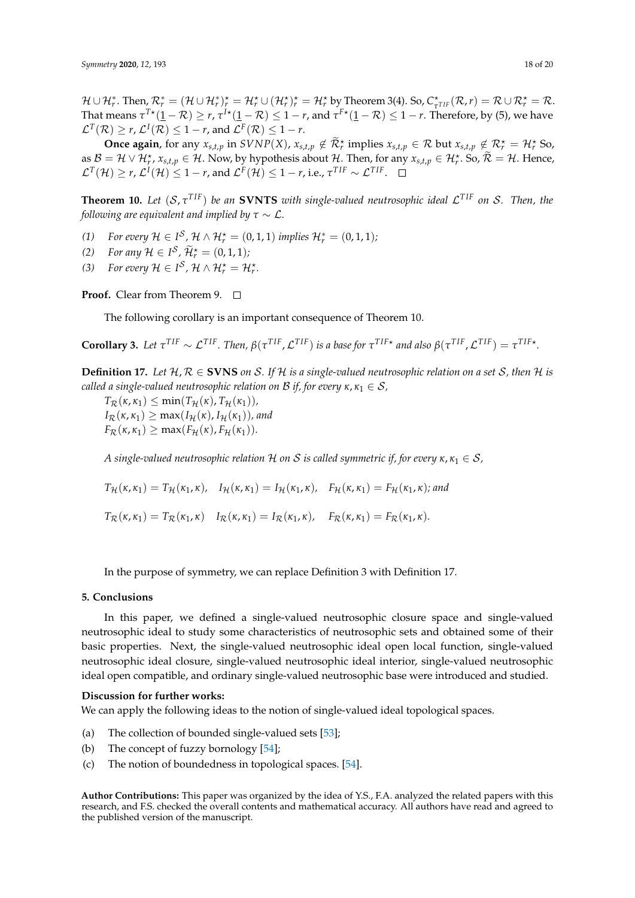$\mathcal{H}\cup\mathcal{H}_r^*$ . Then,  $\mathcal{R}_r^*=(\mathcal{H}\cup\mathcal{H}_r^*)_r^{\star}=\mathcal{H}_r^{\star}\cup(\mathcal{H}_r^{\star})_r^{\star}=\mathcal{H}_r^{\star}$  by Theorem 3(4). So,  $C_{\tau}^{\star}$  $\frac{1}{\tau}$ *TIF*  $(R, r) = R \cup R_r^* = R.$ That means  $\tau^{T\star}(1-\mathcal{R})\geq r$ ,  $\tau^{I\star}(1-\mathcal{R})\leq 1-r$ , and  $\tau^{F\star}(1-\mathcal{R})\leq 1-r.$  Therefore, by (5), we have  $\mathcal{L}^{T}(\mathcal{R})\geq$   $r$ ,  $\mathcal{L}^{I}(\mathcal{R})\leq1-r$ , and  $\mathcal{L}^{F}(\mathcal{R})\leq1-r$ .

**Once again**, for any  $x_{s,t,p}$  in  $SVNP(X)$ ,  $x_{s,t,p} \notin \widetilde{\mathcal{R}}_r^*$  implies  $x_{s,t,p} \in \mathcal{R}$  but  $x_{s,t,p} \notin \mathcal{R}_r^* = \mathcal{H}_r^*$  So, as  $B = H \vee H_r^{\star}$ ,  $x_{s,t,p} \in H$ . Now, by hypothesis about H. Then, for any  $x_{s,t,p} \in H_r^{\star}$ . So,  $\widetilde{\mathcal{R}} = H$ . Hence,  $\mathcal{L}^{T}(\mathcal{H}) \geq r$ ,  $\mathcal{L}^{I}(\mathcal{H}) \leq 1-r$ , and  $\mathcal{L}^{F}(\mathcal{H}) \leq 1-r$ , i.e.,  $\tau^{TIF} \sim \mathcal{L}^{TIF}$ .

**Theorem 10.** *Let* (S, *τ T IF*) *be an* **SVNTS** *with single-valued neutrosophic ideal* L *T IF on* S*. Then, the following are equivalent and implied by*  $\tau \sim \mathcal{L}$ *.* 

- *(1) For every*  $H \in I^{\mathcal{S}}, \mathcal{H} \wedge \mathcal{H}_{r}^{\star} = (0,1,1)$  *implies*  $\mathcal{H}_{r}^{\ast} = (0,1,1)$ *;*
- (2) *For any*  $\mathcal{H} \in I^{\mathcal{S}}$ ,  $\widetilde{\mathcal{H}}_r^{\star} = (0,1,1);$
- *(3) For every*  $\mathcal{H} \in I^{\mathcal{S}}$ ,  $\mathcal{H} \wedge \mathcal{H}_{r}^{\star} = \mathcal{H}_{r}^{\star}$ .

**Proof.** Clear from Theorem 9. □

The following corollary is an important consequence of Theorem 10.

**Corollary 3.** Let  $\tau^{TIF} \sim \mathcal{L}^{TIF}$ . Then,  $\beta(\tau^{TIF}, \mathcal{L}^{TIF})$  is a base for  $\tau^{TIF*}$  and also  $\beta(\tau^{TIF}, \mathcal{L}^{TIF}) = \tau^{TIF*}$ .

**Definition 17.** Let  $H, R \in$  **SVNS** on S. If H is a single-valued neutrosophic relation on a set S, then H is *called a single-valued neutrosophic relation on B if, for every*  $\kappa, \kappa_1 \in S$ ,

 $T_{\mathcal{R}}(\kappa,\kappa_1) \leq \min(T_{\mathcal{H}}(\kappa), T_{\mathcal{H}}(\kappa_1)),$  $I_{\mathcal{R}}(\kappa,\kappa_1) \geq \max(I_{\mathcal{H}}(\kappa), I_{\mathcal{H}}(\kappa_1))$ *, and*  $F_{\mathcal{R}}(\kappa,\kappa_1) \geq \max(F_{\mathcal{H}}(\kappa), F_{\mathcal{H}}(\kappa_1)).$ 

*A* single-valued neutrosophic relation H on S is called symmetric if, for every  $\kappa, \kappa_1 \in S$ ,

 $T_H(\kappa, \kappa_1) = T_H(\kappa_1, \kappa)$ ,  $I_H(\kappa, \kappa_1) = I_H(\kappa_1, \kappa)$ ,  $F_H(\kappa, \kappa_1) = F_H(\kappa_1, \kappa)$ ; and

 $T_{\mathcal{R}}(\kappa, \kappa_1) = T_{\mathcal{R}}(\kappa_1, \kappa) \quad I_{\mathcal{R}}(\kappa, \kappa_1) = I_{\mathcal{R}}(\kappa_1, \kappa), \quad F_{\mathcal{R}}(\kappa, \kappa_1) = F_{\mathcal{R}}(\kappa_1, \kappa).$ 

In the purpose of symmetry, we can replace Definition 3 with Definition 17.

#### **5. Conclusions**

In this paper, we defined a single-valued neutrosophic closure space and single-valued neutrosophic ideal to study some characteristics of neutrosophic sets and obtained some of their basic properties. Next, the single-valued neutrosophic ideal open local function, single-valued neutrosophic ideal closure, single-valued neutrosophic ideal interior, single-valued neutrosophic ideal open compatible, and ordinary single-valued neutrosophic base were introduced and studied.

#### **Discussion for further works:**

We can apply the following ideas to the notion of single-valued ideal topological spaces.

- (a) The collection of bounded single-valued sets [\[53\]](#page-19-22);
- (b) The concept of fuzzy bornology [\[54\]](#page-19-23);
- (c) The notion of boundedness in topological spaces. [\[54\]](#page-19-23).

**Author Contributions:** This paper was organized by the idea of Y.S., F.A. analyzed the related papers with this research, and F.S. checked the overall contents and mathematical accuracy. All authors have read and agreed to the published version of the manuscript.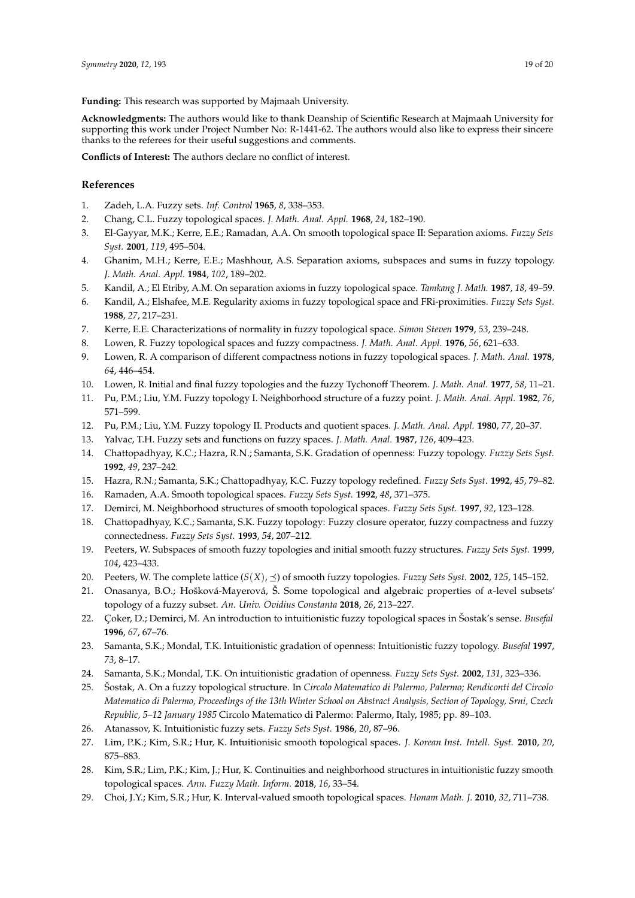**Funding:** This research was supported by Majmaah University.

**Acknowledgments:** The authors would like to thank Deanship of Scientific Research at Majmaah University for supporting this work under Project Number No: R-1441-62. The authors would also like to express their sincere thanks to the referees for their useful suggestions and comments.

**Conflicts of Interest:** The authors declare no conflict of interest.

## **References**

- <span id="page-18-0"></span>1. Zadeh, L.A. Fuzzy sets. *Inf. Control* **1965**, *8*, 338–353.
- <span id="page-18-1"></span>2. Chang, C.L. Fuzzy topological spaces. *J. Math. Anal. Appl.* **1968**, *24*, 182–190.
- <span id="page-18-2"></span>3. El-Gayyar, M.K.; Kerre, E.E.; Ramadan, A.A. On smooth topological space II: Separation axioms. *Fuzzy Sets Syst.* **2001**, *119*, 495–504.
- 4. Ghanim, M.H.; Kerre, E.E.; Mashhour, A.S. Separation axioms, subspaces and sums in fuzzy topology. *J. Math. Anal. Appl.* **1984**, *102*, 189–202.
- 5. Kandil, A.; El Etriby, A.M. On separation axioms in fuzzy topological space. *Tamkang J. Math.* **1987**, *18*, 49–59.
- 6. Kandil, A.; Elshafee, M.E. Regularity axioms in fuzzy topological space and FRi-proximities. *Fuzzy Sets Syst.* **1988**, *27*, 217–231.
- 7. Kerre, E.E. Characterizations of normality in fuzzy topological space. *Simon Steven* **1979**, *53*, 239–248.
- 8. Lowen, R. Fuzzy topological spaces and fuzzy compactness. *J. Math. Anal. Appl.* **1976**, *56*, 621–633.
- 9. Lowen, R. A comparison of different compactness notions in fuzzy topological spaces. *J. Math. Anal.* **1978**, *64*, 446–454.
- 10. Lowen, R. Initial and final fuzzy topologies and the fuzzy Tychonoff Theorem. *J. Math. Anal.* **1977**, *58*, 11–21.
- 11. Pu, P.M.; Liu, Y.M. Fuzzy topology I. Neighborhood structure of a fuzzy point. *J. Math. Anal. Appl.* **1982**, *76*, 571–599.
- 12. Pu, P.M.; Liu, Y.M. Fuzzy topology II. Products and quotient spaces. *J. Math. Anal. Appl.* **1980**, *77*, 20–37.
- <span id="page-18-3"></span>13. Yalvac, T.H. Fuzzy sets and functions on fuzzy spaces. *J. Math. Anal.* **1987**, *126*, 409–423.
- <span id="page-18-4"></span>14. Chattopadhyay, K.C.; Hazra, R.N.; Samanta, S.K. Gradation of openness: Fuzzy topology. *Fuzzy Sets Syst.* **1992**, *49*, 237–242.
- <span id="page-18-5"></span>15. Hazra, R.N.; Samanta, S.K.; Chattopadhyay, K.C. Fuzzy topology redefined. *Fuzzy Sets Syst*. **1992**, *45*, 79–82.
- <span id="page-18-6"></span>16. Ramaden, A.A. Smooth topological spaces. *Fuzzy Sets Syst.* **1992**, *48*, 371–375.
- <span id="page-18-7"></span>17. Demirci, M. Neighborhood structures of smooth topological spaces. *Fuzzy Sets Syst.* **1997**, *92*, 123–128.
- <span id="page-18-8"></span>18. Chattopadhyay, K.C.; Samanta, S.K. Fuzzy topology: Fuzzy closure operator, fuzzy compactness and fuzzy connectedness. *Fuzzy Sets Syst.* **1993**, *54*, 207–212.
- <span id="page-18-9"></span>19. Peeters, W. Subspaces of smooth fuzzy topologies and initial smooth fuzzy structures. *Fuzzy Sets Syst.* **1999**, *104*, 423–433.
- <span id="page-18-10"></span>20. Peeters, W. The complete lattice  $(S(X), \preceq)$  of smooth fuzzy topologies. *Fuzzy Sets Syst.* **2002**, 125, 145–152.
- <span id="page-18-11"></span>21. Onasanya, B.O.; Hošková-Mayerová, Š. Some topological and algebraic properties of *α*-level subsets' topology of a fuzzy subset. *An. Univ. Ovidius Constanta* **2018**, *26*, 213–227.
- <span id="page-18-12"></span>22. Çoker, D.; Demirci, M. An introduction to intuitionistic fuzzy topological spaces in Šostak's sense. *Busefal* **1996**, *67*, 67–76.
- <span id="page-18-13"></span>23. Samanta, S.K.; Mondal, T.K. Intuitionistic gradation of openness: Intuitionistic fuzzy topology. *Busefal* **1997**, *73*, 8–17.
- <span id="page-18-14"></span>24. Samanta, S.K.; Mondal, T.K. On intuitionistic gradation of openness. *Fuzzy Sets Syst.* **2002**, *131*, 323–336.
- <span id="page-18-15"></span>25. Šostak, A. On a fuzzy topological structure. In *Circolo Matematico di Palermo, Palermo; Rendiconti del Circolo Matematico di Palermo, Proceedings of the 13th Winter School on Abstract Analysis, Section of Topology, Srni, Czech Republic, 5–12 January 1985* Circolo Matematico di Palermo: Palermo, Italy, 1985; pp. 89–103.
- <span id="page-18-16"></span>26. Atanassov, K. Intuitionistic fuzzy sets. *Fuzzy Sets Syst.* **1986**, *20*, 87–96.
- <span id="page-18-17"></span>27. Lim, P.K.; Kim, S.R.; Hur, K. Intuitionisic smooth topological spaces. *J. Korean Inst. Intell. Syst.* **2010**, *20*, 875–883.
- <span id="page-18-18"></span>28. Kim, S.R.; Lim, P.K.; Kim, J.; Hur, K. Continuities and neighborhood structures in intuitionistic fuzzy smooth topological spaces. *Ann. Fuzzy Math. Inform.* **2018**, *16*, 33–54.
- <span id="page-18-19"></span>29. Choi, J.Y.; Kim, S.R.; Hur, K. Interval-valued smooth topological spaces. *Honam Math. J.* **2010**, *32*, 711–738.